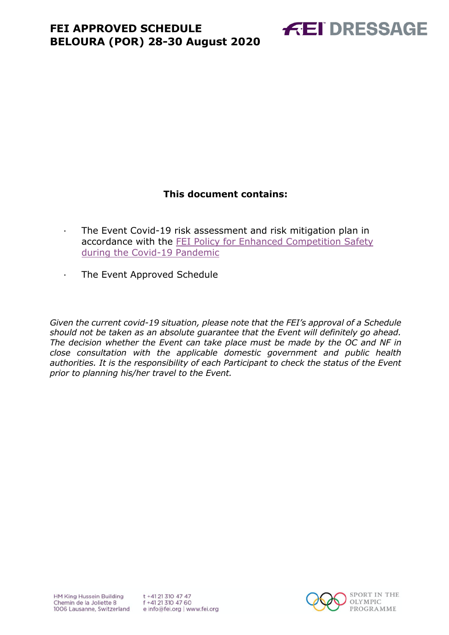

### **This document contains:**

- The Event Covid-19 risk assessment and risk mitigation plan in accordance with the FEI Policy for Enhanced Competition Safety during the Covid-19 Pandemic
- · The Event Approved Schedule

*Given the current covid-19 situation, please note that the FEI's approval of a Schedule should not be taken as an absolute guarantee that the Event will definitely go ahead. The decision whether the Event can take place must be made by the OC and NF in close consultation with the applicable domestic government and public health authorities. It is the responsibility of each Participant to check the status of the Event prior to planning his/her travel to the Event.*

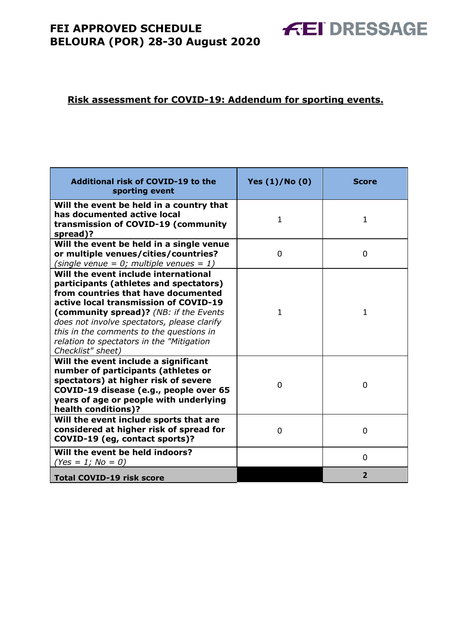### **Risk assessment for COVID-19: Addendum for sporting events.**

**FEI DRESSAGE** 

| <b>Additional risk of COVID-19 to the</b><br>sporting event                                                                                                                                                                                                                                                                                                           | Yes $(1)/N$ o $(0)$ | <b>Score</b>   |
|-----------------------------------------------------------------------------------------------------------------------------------------------------------------------------------------------------------------------------------------------------------------------------------------------------------------------------------------------------------------------|---------------------|----------------|
| Will the event be held in a country that<br>has documented active local<br>transmission of COVID-19 (community<br>spread)?                                                                                                                                                                                                                                            | $\mathbf{1}$        | $\mathbf{1}$   |
| Will the event be held in a single venue<br>or multiple venues/cities/countries?<br>(single venue = $0$ ; multiple venues = 1)                                                                                                                                                                                                                                        | $\overline{0}$      | 0              |
| Will the event include international<br>participants (athletes and spectators)<br>from countries that have documented<br>active local transmission of COVID-19<br>(community spread)? (NB: if the Events<br>does not involve spectators, please clarify<br>this in the comments to the questions in<br>relation to spectators in the "Mitigation<br>Checklist" sheet) | 1                   | 1              |
| Will the event include a significant<br>number of participants (athletes or<br>spectators) at higher risk of severe<br>COVID-19 disease (e.g., people over 65<br>years of age or people with underlying<br>health conditions)?                                                                                                                                        | $\Omega$            | 0              |
| Will the event include sports that are<br>considered at higher risk of spread for<br>COVID-19 (eg, contact sports)?                                                                                                                                                                                                                                                   | $\Omega$            | 0              |
| Will the event be held indoors?<br>$(Yes = 1; No = 0)$                                                                                                                                                                                                                                                                                                                |                     | 0              |
| <b>Total COVID-19 risk score</b>                                                                                                                                                                                                                                                                                                                                      |                     | $\overline{2}$ |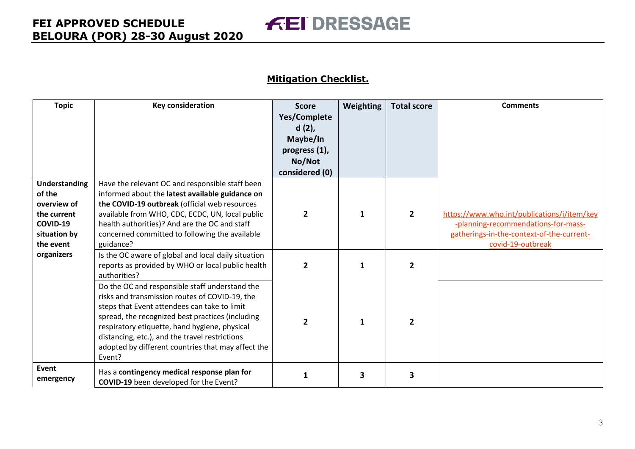# **FEI DRESSAGE**

### **Mitigation Checklist.**

| <b>Topic</b>                                                                                          | <b>Key consideration</b>                                                                                                                                                                                                                                                                                                                                                | <b>Score</b><br>Yes/Complete<br>$d(2)$ ,<br>Maybe/In<br>progress (1),<br>No/Not<br>considered (0) | Weighting | <b>Total score</b> | <b>Comments</b>                                                                                                                                      |
|-------------------------------------------------------------------------------------------------------|-------------------------------------------------------------------------------------------------------------------------------------------------------------------------------------------------------------------------------------------------------------------------------------------------------------------------------------------------------------------------|---------------------------------------------------------------------------------------------------|-----------|--------------------|------------------------------------------------------------------------------------------------------------------------------------------------------|
| <b>Understanding</b><br>of the<br>overview of<br>the current<br>COVID-19<br>situation by<br>the event | Have the relevant OC and responsible staff been<br>informed about the latest available guidance on<br>the COVID-19 outbreak (official web resources<br>available from WHO, CDC, ECDC, UN, local public<br>health authorities)? And are the OC and staff<br>concerned committed to following the available<br>guidance?                                                  | $\overline{2}$                                                                                    | 1         | $\overline{2}$     | https://www.who.int/publications/i/item/key<br>-planning-recommendations-for-mass-<br>gatherings-in-the-context-of-the-current-<br>covid-19-outbreak |
| organizers                                                                                            | Is the OC aware of global and local daily situation<br>reports as provided by WHO or local public health<br>authorities?                                                                                                                                                                                                                                                | $\overline{2}$                                                                                    | 1         | $\overline{2}$     |                                                                                                                                                      |
|                                                                                                       | Do the OC and responsible staff understand the<br>risks and transmission routes of COVID-19, the<br>steps that Event attendees can take to limit<br>spread, the recognized best practices (including<br>respiratory etiquette, hand hygiene, physical<br>distancing, etc.), and the travel restrictions<br>adopted by different countries that may affect the<br>Event? | $\overline{2}$                                                                                    | 1         | $\overline{2}$     |                                                                                                                                                      |
| Event<br>emergency                                                                                    | Has a contingency medical response plan for<br>COVID-19 been developed for the Event?                                                                                                                                                                                                                                                                                   | 1                                                                                                 | 3         | 3                  |                                                                                                                                                      |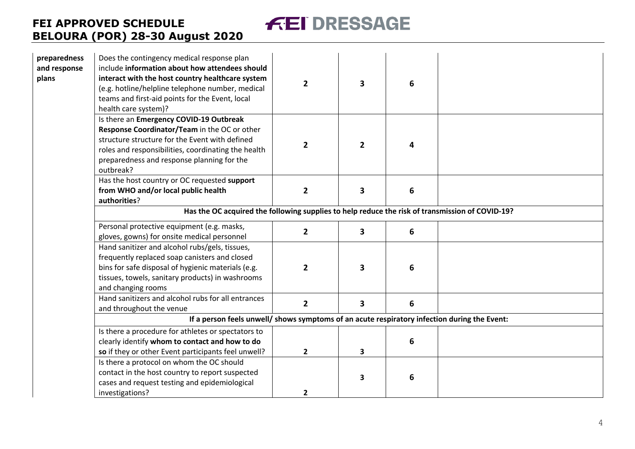**FEI DRESSAGE** 

| preparedness<br>and response<br>plans | Does the contingency medical response plan<br>include information about how attendees should<br>interact with the host country healthcare system<br>(e.g. hotline/helpline telephone number, medical<br>teams and first-aid points for the Event, local<br>health care system)? | $\overline{2}$ | 3                       | 6 |  |  |
|---------------------------------------|---------------------------------------------------------------------------------------------------------------------------------------------------------------------------------------------------------------------------------------------------------------------------------|----------------|-------------------------|---|--|--|
|                                       | Is there an Emergency COVID-19 Outbreak<br>Response Coordinator/Team in the OC or other<br>structure structure for the Event with defined<br>roles and responsibilities, coordinating the health<br>preparedness and response planning for the<br>outbreak?                     | $\overline{2}$ | $\overline{2}$          | 4 |  |  |
|                                       | Has the host country or OC requested support<br>from WHO and/or local public health<br>authorities?                                                                                                                                                                             | $\overline{2}$ | 3                       | 6 |  |  |
|                                       | Has the OC acquired the following supplies to help reduce the risk of transmission of COVID-19?                                                                                                                                                                                 |                |                         |   |  |  |
|                                       | Personal protective equipment (e.g. masks,<br>gloves, gowns) for onsite medical personnel                                                                                                                                                                                       | $\mathbf{2}$   | 3                       | 6 |  |  |
|                                       | Hand sanitizer and alcohol rubs/gels, tissues,<br>frequently replaced soap canisters and closed<br>bins for safe disposal of hygienic materials (e.g.<br>tissues, towels, sanitary products) in washrooms<br>and changing rooms                                                 | $\overline{2}$ | 3                       | 6 |  |  |
|                                       | Hand sanitizers and alcohol rubs for all entrances<br>and throughout the venue                                                                                                                                                                                                  | $\overline{2}$ | $\overline{\mathbf{3}}$ | 6 |  |  |
|                                       | If a person feels unwell/ shows symptoms of an acute respiratory infection during the Event:                                                                                                                                                                                    |                |                         |   |  |  |
|                                       | Is there a procedure for athletes or spectators to<br>clearly identify whom to contact and how to do<br>so if they or other Event participants feel unwell?                                                                                                                     | $\mathbf{2}$   | 3                       | 6 |  |  |
|                                       | Is there a protocol on whom the OC should<br>contact in the host country to report suspected<br>cases and request testing and epidemiological<br>investigations?                                                                                                                | $\mathbf{2}$   | 3                       | 6 |  |  |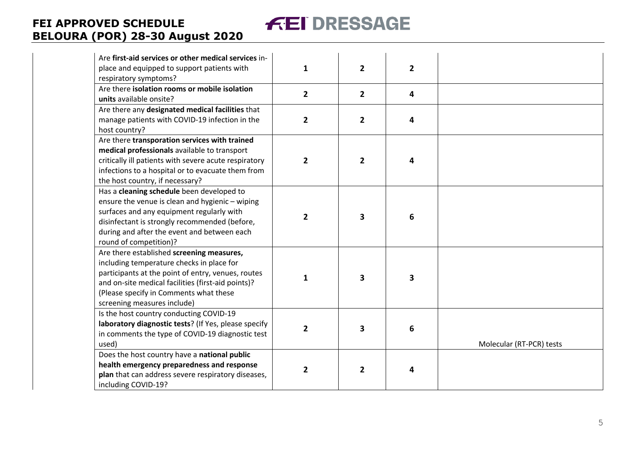

**FEI DRESSAGE**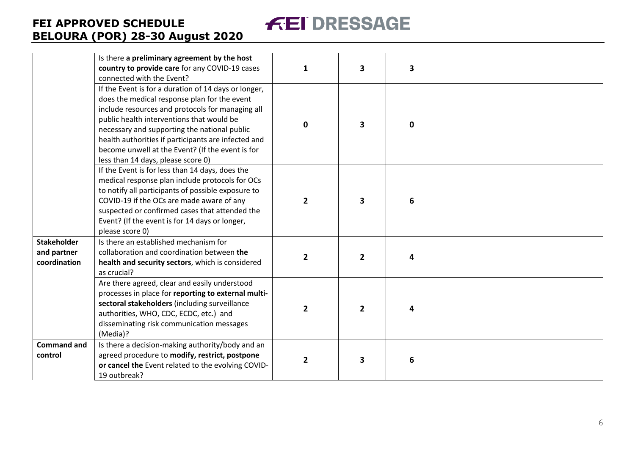Is there **a preliminary agreement by the host country to provide care** for any COVID -19 cases connected with the Event? **1 3 3** If the Event is for a duration of 14 days or longer, does the medical response plan for the event include resources and protocols for managing all public health interventions that would be necessary and supporting the national public health authorities if participants are infected and become unwell at the Event? (If the event is for less than 14 days, please score 0) **0 3 0** If the Event is for less than 14 days, does the medical response plan include protocols for OCs to notify all participants of possible exposure to COVID -19 if the OCs are made aware of any suspected or confirmed cases that attended the Event? (If the event is for 14 days or longer, please score 0) **2 3 6 Stakeholder and partner coordination** Is there an established mechanism for collaboration and coordination between **the health and security sectors**, which is considered as crucial? **2 2 4** Are there agreed, clear and easily understood processes in place for **reporting to external multi sectoral stakeholders** (including surveillance authorities, WHO, CDC, ECDC, etc.) and disseminating risk communication messages (Media)? **2 2 4 Command and control** Is there a decision -making authority/body and an agreed procedure to **modify, restrict, postpone or cancel the** Event related to the evolving COVID - 19 outbreak? **2 3 6**

**ÆEI DRESSAGE**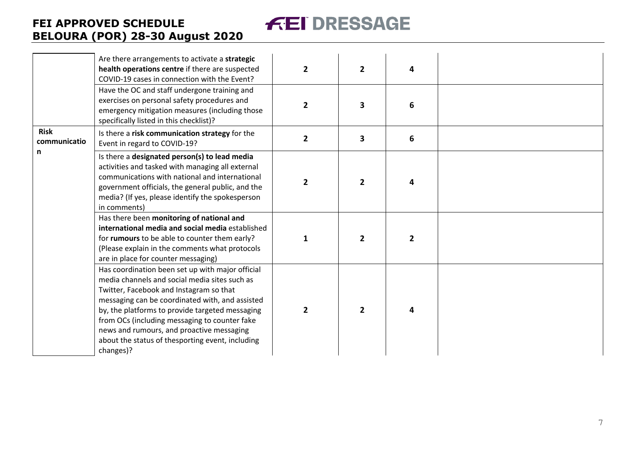Are there arrangements to activate a **strategic health operations centre** if there are suspected COVID -19 cases in connection with the Event? **2 2 4** Have the OC and staff undergone training and exercises on personal safety procedures and emergency mitigation measures (including those specifically listed in this checklist)? **2 3 6 Risk communicatio n**  Is there a **risk communication strategy** for the Event in regard to COVID -19? **2 3 6** Is there a **designated person(s) to lead media**  activities and tasked with managing all external communications with national and international government officials, the general public, and the media? (If yes, please identify the spokesperson in comments) **2 2 4** Has there been **monitoring of national and international media and social media** established for **rumours** to be able to counter them early? (Please explain in the comments what protocols are in place for counter messaging) **1 2 2** Has coordination been set up with major official media channels and social media sites such as Twitter, Facebook and Instagram so that messaging can be coordinated with, and assisted by, the platforms to provide targeted messaging from OCs (including messaging to counter fake news and rumours, and proactive messaging about the status of thesporting event, including changes)? **2 2 4**

**FEI DRESSAGE**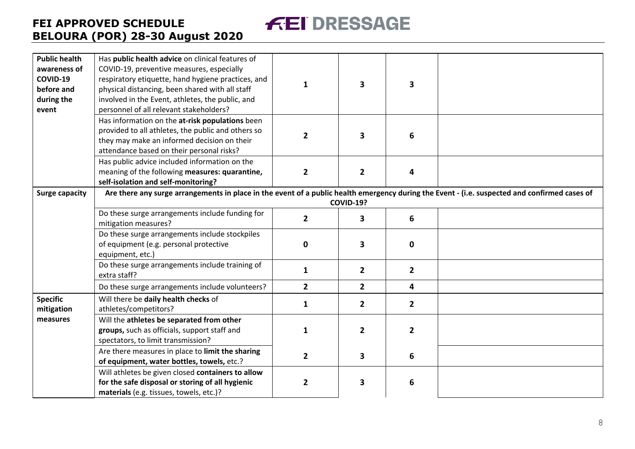

| <b>Public health</b><br>awareness of<br>COVID-19<br>before and<br>during the<br>event | Has public health advice on clinical features of<br>COVID-19, preventive measures, especially<br>respiratory etiquette, hand hygiene practices, and<br>physical distancing, been shared with all staff<br>involved in the Event, athletes, the public, and<br>personnel of all relevant stakeholders? | $\mathbf{1}$   | 3                | 3                       |  |
|---------------------------------------------------------------------------------------|-------------------------------------------------------------------------------------------------------------------------------------------------------------------------------------------------------------------------------------------------------------------------------------------------------|----------------|------------------|-------------------------|--|
|                                                                                       | Has information on the at-risk populations been<br>provided to all athletes, the public and others so<br>they may make an informed decision on their<br>attendance based on their personal risks?                                                                                                     | $\overline{2}$ | 3                | 6                       |  |
|                                                                                       | Has public advice included information on the<br>meaning of the following measures: quarantine,<br>self-isolation and self-monitoring?                                                                                                                                                                | $\overline{2}$ | $\overline{2}$   | 4                       |  |
| <b>Surge capacity</b>                                                                 | Are there any surge arrangements in place in the event of a public health emergency during the Event - (i.e. suspected and confirmed cases of                                                                                                                                                         |                | <b>COVID-19?</b> |                         |  |
|                                                                                       | Do these surge arrangements include funding for<br>mitigation measures?                                                                                                                                                                                                                               | $\overline{2}$ | 3                | 6                       |  |
|                                                                                       | Do these surge arrangements include stockpiles<br>of equipment (e.g. personal protective<br>equipment, etc.)                                                                                                                                                                                          | $\mathbf 0$    | 3                | $\mathbf{0}$            |  |
|                                                                                       | Do these surge arrangements include training of<br>extra staff?                                                                                                                                                                                                                                       | $\mathbf{1}$   | $\overline{2}$   | $\overline{2}$          |  |
|                                                                                       | Do these surge arrangements include volunteers?                                                                                                                                                                                                                                                       | $\overline{2}$ | $\overline{2}$   | 4                       |  |
| <b>Specific</b><br>mitigation                                                         | Will there be daily health checks of<br>athletes/competitors?                                                                                                                                                                                                                                         | $\mathbf{1}$   | $\overline{2}$   | $\overline{\mathbf{2}}$ |  |
| measures                                                                              | Will the athletes be separated from other<br>groups, such as officials, support staff and<br>spectators, to limit transmission?                                                                                                                                                                       | $\mathbf{1}$   | $\overline{2}$   | $\overline{2}$          |  |
|                                                                                       | Are there measures in place to limit the sharing<br>of equipment, water bottles, towels, etc.?                                                                                                                                                                                                        | $\overline{2}$ | 3                | 6                       |  |
|                                                                                       | Will athletes be given closed containers to allow<br>for the safe disposal or storing of all hygienic<br>materials (e.g. tissues, towels, etc.)?                                                                                                                                                      | $\overline{2}$ | 3                | 6                       |  |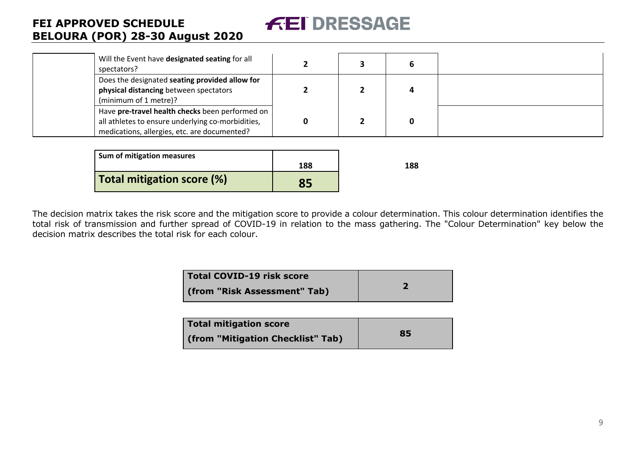Will the Event have **designated seating** for all  $\frac{1}{2}$  **3 6**<br>spectators? **1 6** Does the designated **seating provided allow for physical distancing** between spectators (minimum of 1 metre)? **2 2 4** Have **pre-travel health checks** been performed on all athletes to ensure underlying co-morbidities, medications, allergies, etc. are documented? **0 2 0**

**FEI DRESSAGE** 

| <b>Sum of mitigation measures</b> |     |     |
|-----------------------------------|-----|-----|
|                                   | 188 | 188 |
| Total mitigation score (%)        | 85  |     |

The decision matrix takes the risk score and the mitigation score to provide a colour determination. This colour determination identifies the total risk of transmission and further spread of COVID-19 in relation to the mass gathering. The "Colour Determination" key below the decision matrix describes the total risk for each colour.

| Total COVID-19 risk score    |  |
|------------------------------|--|
| (from "Risk Assessment" Tab) |  |

| <b>Total mitigation score</b>     |    |
|-----------------------------------|----|
| (from "Mitigation Checklist" Tab) | 85 |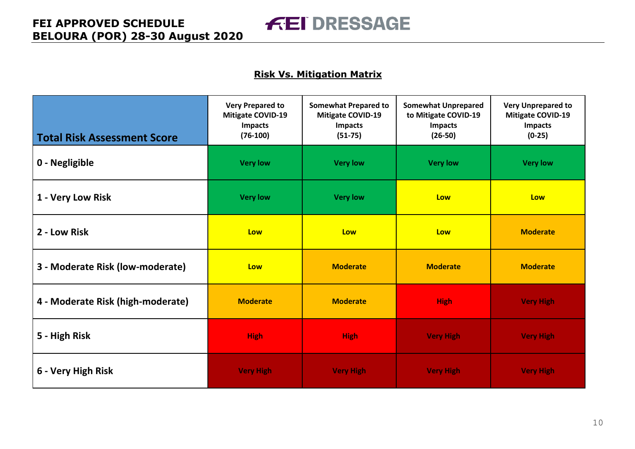#### **Risk Vs. Mitigation Matrix**

**FEI DRESSAGE** 

| <b>Total Risk Assessment Score</b> | <b>Very Prepared to</b><br><b>Mitigate COVID-19</b><br><b>Impacts</b><br>$(76-100)$ | <b>Somewhat Prepared to</b><br><b>Mitigate COVID-19</b><br><b>Impacts</b><br>$(51-75)$ | <b>Somewhat Unprepared</b><br>to Mitigate COVID-19<br><b>Impacts</b><br>$(26-50)$ | <b>Very Unprepared to</b><br><b>Mitigate COVID-19</b><br><b>Impacts</b><br>$(0-25)$ |
|------------------------------------|-------------------------------------------------------------------------------------|----------------------------------------------------------------------------------------|-----------------------------------------------------------------------------------|-------------------------------------------------------------------------------------|
| 0 - Negligible                     | <b>Very low</b>                                                                     | <b>Very low</b>                                                                        | <b>Very low</b>                                                                   | <b>Very low</b>                                                                     |
| 1 - Very Low Risk                  | <b>Very low</b>                                                                     | <b>Very low</b>                                                                        | Low                                                                               | Low                                                                                 |
| 2 - Low Risk                       | Low                                                                                 | Low                                                                                    | Low                                                                               | <b>Moderate</b>                                                                     |
| 3 - Moderate Risk (low-moderate)   | Low                                                                                 | <b>Moderate</b>                                                                        | <b>Moderate</b>                                                                   | <b>Moderate</b>                                                                     |
| 4 - Moderate Risk (high-moderate)  | <b>Moderate</b>                                                                     | <b>Moderate</b>                                                                        | <b>High</b>                                                                       | <b>Very High</b>                                                                    |
| 5 - High Risk                      | <b>High</b>                                                                         | <b>High</b>                                                                            | <b>Very High</b>                                                                  | <b>Very High</b>                                                                    |
| 6 - Very High Risk                 | <b>Very High</b>                                                                    | <b>Very High</b>                                                                       | <b>Very High</b>                                                                  | <b>Very High</b>                                                                    |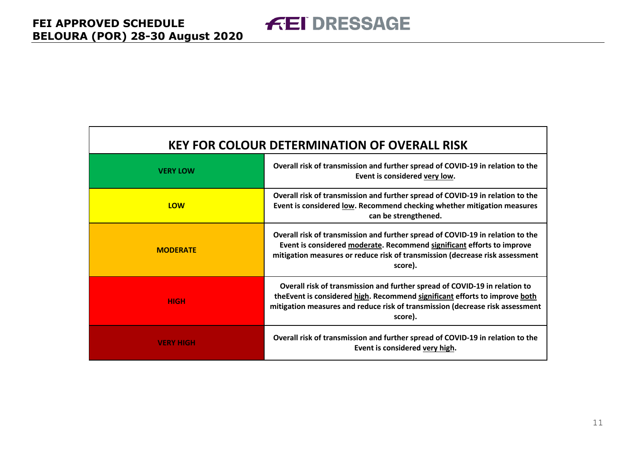| <b>KEY FOR COLOUR DETERMINATION OF OVERALL RISK</b> |                                                                                                                                                                                                                                                       |  |  |  |  |
|-----------------------------------------------------|-------------------------------------------------------------------------------------------------------------------------------------------------------------------------------------------------------------------------------------------------------|--|--|--|--|
| <b>VERY LOW</b>                                     | Overall risk of transmission and further spread of COVID-19 in relation to the<br>Event is considered very low.                                                                                                                                       |  |  |  |  |
| LOW                                                 | Overall risk of transmission and further spread of COVID-19 in relation to the<br>Event is considered low. Recommend checking whether mitigation measures<br>can be strengthened.                                                                     |  |  |  |  |
| <b>MODERATE</b>                                     | Overall risk of transmission and further spread of COVID-19 in relation to the<br>Event is considered moderate. Recommend significant efforts to improve<br>mitigation measures or reduce risk of transmission (decrease risk assessment<br>score).   |  |  |  |  |
| <b>HIGH</b>                                         | Overall risk of transmission and further spread of COVID-19 in relation to<br>the Event is considered high. Recommend significant efforts to improve both<br>mitigation measures and reduce risk of transmission (decrease risk assessment<br>score). |  |  |  |  |
| <b>VERY HIGH</b>                                    | Overall risk of transmission and further spread of COVID-19 in relation to the<br>Event is considered very high.                                                                                                                                      |  |  |  |  |

**FEI DRESSAGE**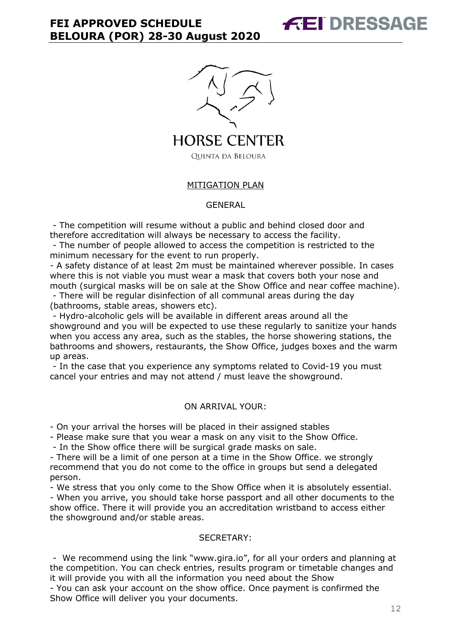



#### MITIGATION PLAN

#### GENERAL

- The competition will resume without a public and behind closed door and therefore accreditation will always be necessary to access the facility.

- The number of people allowed to access the competition is restricted to the minimum necessary for the event to run properly.

- A safety distance of at least 2m must be maintained wherever possible. In cases where this is not viable you must wear a mask that covers both your nose and mouth (surgical masks will be on sale at the Show Office and near coffee machine).

- There will be regular disinfection of all communal areas during the day (bathrooms, stable areas, showers etc).

- Hydro-alcoholic gels will be available in different areas around all the showground and you will be expected to use these regularly to sanitize your hands when you access any area, such as the stables, the horse showering stations, the bathrooms and showers, restaurants, the Show Office, judges boxes and the warm up areas.

- In the case that you experience any symptoms related to Covid-19 you must cancel your entries and may not attend / must leave the showground.

#### ON ARRIVAL YOUR:

- On your arrival the horses will be placed in their assigned stables

- Please make sure that you wear a mask on any visit to the Show Office.

- In the Show office there will be surgical grade masks on sale.

- There will be a limit of one person at a time in the Show Office. we strongly recommend that you do not come to the office in groups but send a delegated person.

- We stress that you only come to the Show Office when it is absolutely essential.

- When you arrive, you should take horse passport and all other documents to the show office. There it will provide you an accreditation wristband to access either the showground and/or stable areas.

#### SECRETARY:

- We recommend using the link "www.gira.io", for all your orders and planning at the competition. You can check entries, results program or timetable changes and it will provide you with all the information you need about the Show

- You can ask your account on the show office. Once payment is confirmed the Show Office will deliver you your documents.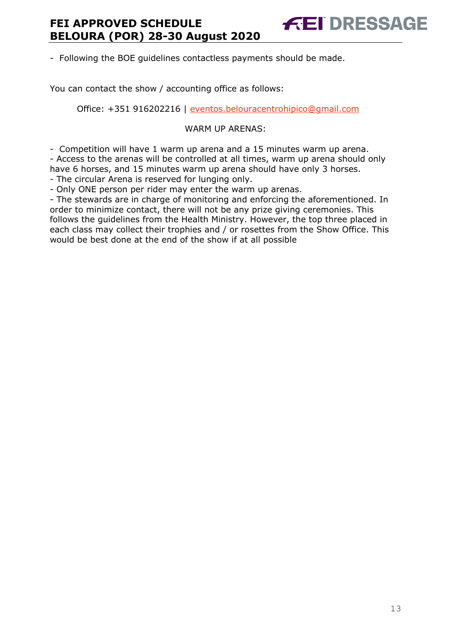#### - Following the BOE guidelines contactless payments should be made.

You can contact the show / accounting office as follows:

Office: +351 916202216 | eventos.belouracentrohipico@gmail.com

#### WARM UP ARENAS:

- Competition will have 1 warm up arena and a 15 minutes warm up arena.

- Access to the arenas will be controlled at all times, warm up arena should only

have 6 horses, and 15 minutes warm up arena should have only 3 horses.

- The circular Arena is reserved for lunging only.

- Only ONE person per rider may enter the warm up arenas.

- The stewards are in charge of monitoring and enforcing the aforementioned. In order to minimize contact, there will not be any prize giving ceremonies. This follows the guidelines from the Health Ministry. However, the top three placed in each class may collect their trophies and / or rosettes from the Show Office. This would be best done at the end of the show if at all possible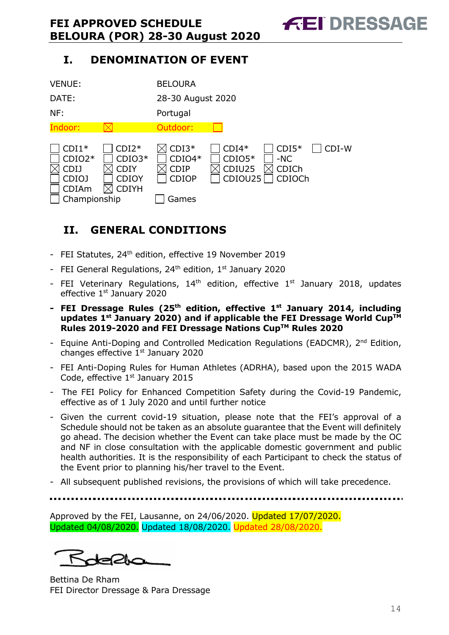### **I. DENOMINATION OF EVENT**

| <b>VENUE:</b>                                                        |                                                      | <b>BELOURA</b>                                              |                                          |                                            |       |
|----------------------------------------------------------------------|------------------------------------------------------|-------------------------------------------------------------|------------------------------------------|--------------------------------------------|-------|
| DATE:                                                                |                                                      | 28-30 August 2020                                           |                                          |                                            |       |
| NF:                                                                  |                                                      | Portugal                                                    |                                          |                                            |       |
| Indoor:                                                              |                                                      | Outdoor:                                                    |                                          |                                            |       |
| $CDI1*$<br>$CDIO2*$<br>CDIJ<br>CDIOJ<br><b>CDIAm</b><br>Championship | $CDI2*$<br>$CDIO3*$<br><b>CDIY</b><br>CDIOY<br>CDIYH | $CDI3*$<br>$CDIO4*$<br><b>CDIP</b><br><b>CDIOP</b><br>Games | $CDI4*$<br>$CDIO5*$<br>CDIU25<br>CDIOU25 | $CDI5*$<br>$-NC$<br><b>CDICh</b><br>CDIOCh | CDI-W |

### **II. GENERAL CONDITIONS**

- FEI Statutes, 24<sup>th</sup> edition, effective 19 November 2019
- FEI General Regulations,  $24<sup>th</sup>$  edition,  $1<sup>st</sup>$  January 2020
- FEI Veterinary Regulations,  $14<sup>th</sup>$  edition, effective  $1<sup>st</sup>$  January 2018, updates effective 1<sup>st</sup> January 2020
- **- FEI Dressage Rules (25th edition, effective 1st January 2014, including updates 1st January 2020) and if applicable the FEI Dressage World CupTM Rules 2019-2020 and FEI Dressage Nations CupTM Rules 2020**
- Equine Anti-Doping and Controlled Medication Regulations (EADCMR), 2<sup>nd</sup> Edition, changes effective  $1<sup>st</sup>$  January 2020
- FEI Anti-Doping Rules for Human Athletes (ADRHA), based upon the 2015 WADA Code, effective 1<sup>st</sup> January 2015
- The FEI Policy for Enhanced Competition Safety during the Covid-19 Pandemic, effective as of 1 July 2020 and until further notice
- Given the current covid-19 situation, please note that the FEI's approval of a Schedule should not be taken as an absolute guarantee that the Event will definitely go ahead. The decision whether the Event can take place must be made by the OC and NF in close consultation with the applicable domestic government and public health authorities. It is the responsibility of each Participant to check the status of the Event prior to planning his/her travel to the Event.
- All subsequent published revisions, the provisions of which will take precedence.

Approved by the FEI, Lausanne, on 24/06/2020. Updated 17/07/2020. Updated 04/08/2020. Updated 18/08/2020. Updated 28/08/2020.

Bettina De Rham FEI Director Dressage & Para Dressage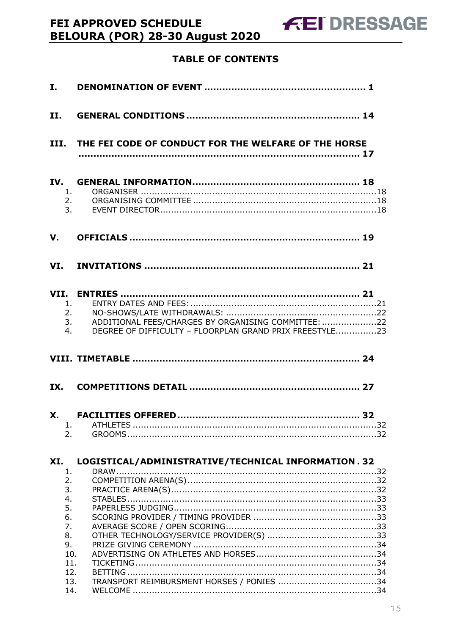### **TABLE OF CONTENTS**

| I.                    |                                                                                                                |
|-----------------------|----------------------------------------------------------------------------------------------------------------|
| II.                   |                                                                                                                |
|                       | III. THE FEI CODE OF CONDUCT FOR THE WELFARE OF THE HORSE                                                      |
| IV.<br>1.<br>2.<br>3. |                                                                                                                |
| $\mathbf{V}$ .        |                                                                                                                |
| VI.                   |                                                                                                                |
| 1.<br>2.<br>3.<br>4.  | ADDITIONAL FEES/CHARGES BY ORGANISING COMMITTEE: 22<br>DEGREE OF DIFFICULTY - FLOORPLAN GRAND PRIX FREESTYLE23 |
|                       |                                                                                                                |
|                       |                                                                                                                |
| IX.                   |                                                                                                                |
| Х.<br>1.<br>2.        | <b>FACILITIES OFFERED</b><br>32                                                                                |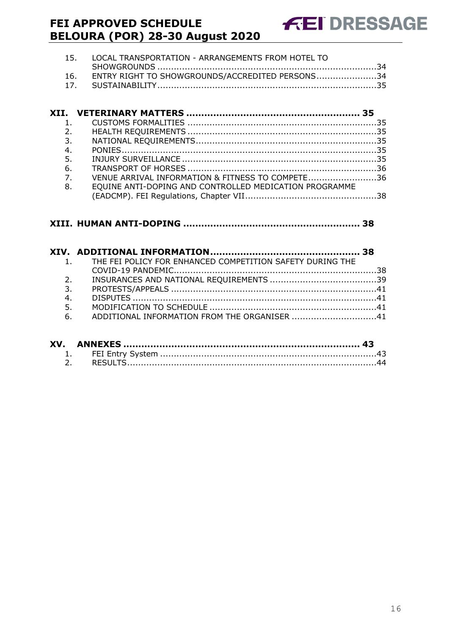| 15. LOCAL TRANSPORTATION - ARRANGEMENTS FROM HOTEL TO |  |
|-------------------------------------------------------|--|
|                                                       |  |
| 16. ENTRY RIGHT TO SHOWGROUNDS/ACCREDITED PERSONS34   |  |
|                                                       |  |
|                                                       |  |

| 3.                                                                   |    |
|----------------------------------------------------------------------|----|
| 4.                                                                   |    |
| 5 <sub>1</sub>                                                       |    |
|                                                                      |    |
| $\overline{7}$ .<br>VENUE ARRIVAL INFORMATION & FITNESS TO COMPETE36 |    |
| EQUINE ANTI-DOPING AND CONTROLLED MEDICATION PROGRAMME               |    |
|                                                                      |    |
|                                                                      | 2. |

#### **XIII. HUMAN ANTI-DOPING ........................................................... 38**

|    | 1. THE FEI POLICY FOR ENHANCED COMPETITION SAFETY DURING THE |  |
|----|--------------------------------------------------------------|--|
|    |                                                              |  |
| 2. |                                                              |  |
| 3. |                                                              |  |
| 4. |                                                              |  |
| 5. |                                                              |  |
| 6. |                                                              |  |
|    |                                                              |  |
|    |                                                              |  |

| XV.      ANNEXES    …………………………………………………………………………………    43 |  |
|-----------------------------------------------------------|--|
|                                                           |  |
|                                                           |  |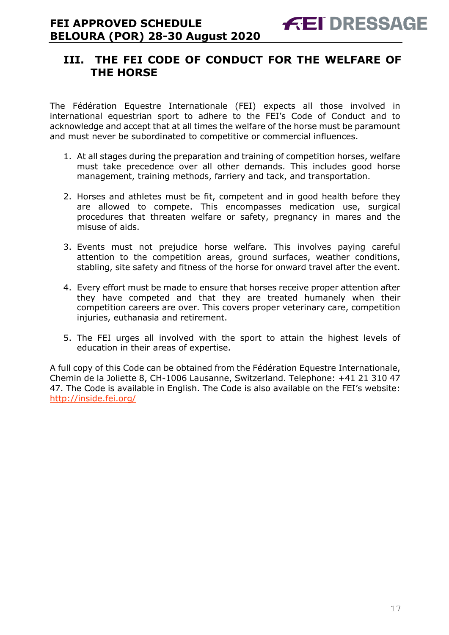### **III. THE FEI CODE OF CONDUCT FOR THE WELFARE OF THE HORSE**

The Fédération Equestre Internationale (FEI) expects all those involved in international equestrian sport to adhere to the FEI's Code of Conduct and to acknowledge and accept that at all times the welfare of the horse must be paramount and must never be subordinated to competitive or commercial influences.

- 1. At all stages during the preparation and training of competition horses, welfare must take precedence over all other demands. This includes good horse management, training methods, farriery and tack, and transportation.
- 2. Horses and athletes must be fit, competent and in good health before they are allowed to compete. This encompasses medication use, surgical procedures that threaten welfare or safety, pregnancy in mares and the misuse of aids.
- 3. Events must not prejudice horse welfare. This involves paying careful attention to the competition areas, ground surfaces, weather conditions, stabling, site safety and fitness of the horse for onward travel after the event.
- 4. Every effort must be made to ensure that horses receive proper attention after they have competed and that they are treated humanely when their competition careers are over. This covers proper veterinary care, competition injuries, euthanasia and retirement.
- 5. The FEI urges all involved with the sport to attain the highest levels of education in their areas of expertise.

A full copy of this Code can be obtained from the Fédération Equestre Internationale, Chemin de la Joliette 8, CH-1006 Lausanne, Switzerland. Telephone: +41 21 310 47 47. The Code is available in English. The Code is also available on the FEI's website: http://inside.fei.org/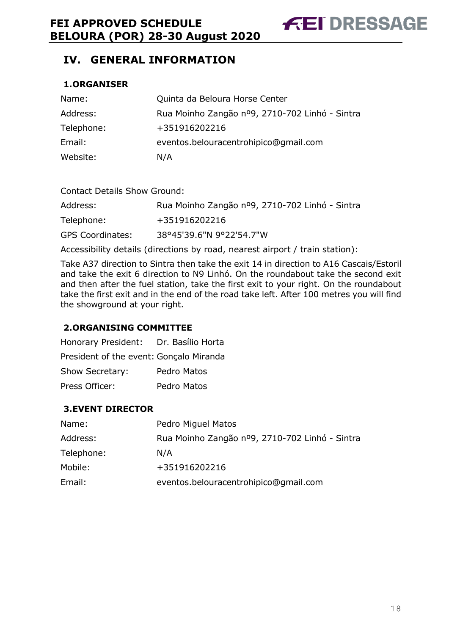### **IV. GENERAL INFORMATION**

#### **1.ORGANISER**

| Name:      | Quinta da Beloura Horse Center                 |
|------------|------------------------------------------------|
| Address:   | Rua Moinho Zangão nº9, 2710-702 Linhó - Sintra |
| Telephone: | +351916202216                                  |
| Email:     | eventos.belouracentrohipico@gmail.com          |
| Website:   | N/A                                            |

#### Contact Details Show Ground:

| Address:                | Rua Moinho Zangão nº9, 2710-702 Linhó - Sintra |
|-------------------------|------------------------------------------------|
| Telephone:              | +351916202216                                  |
| <b>GPS Coordinates:</b> | 38°45'39.6"N 9°22'54.7"W                       |

Accessibility details (directions by road, nearest airport / train station):

Take A37 direction to Sintra then take the exit 14 in direction to A16 Cascais/Estoril and take the exit 6 direction to N9 Linhó. On the roundabout take the second exit and then after the fuel station, take the first exit to your right. On the roundabout take the first exit and in the end of the road take left. After 100 metres you will find the showground at your right.

#### **2.ORGANISING COMMITTEE**

| Honorary President:                     | Dr. Basílio Horta |
|-----------------------------------------|-------------------|
| President of the event: Gonçalo Miranda |                   |
| Show Secretary:                         | Pedro Matos       |
| Press Officer:                          | Pedro Matos       |

#### **3.EVENT DIRECTOR**

| Name:      | Pedro Miguel Matos                             |
|------------|------------------------------------------------|
| Address:   | Rua Moinho Zangão nº9, 2710-702 Linhó - Sintra |
| Telephone: | N/A                                            |
| Mobile:    | +351916202216                                  |
| Email:     | eventos.belouracentrohipico@gmail.com          |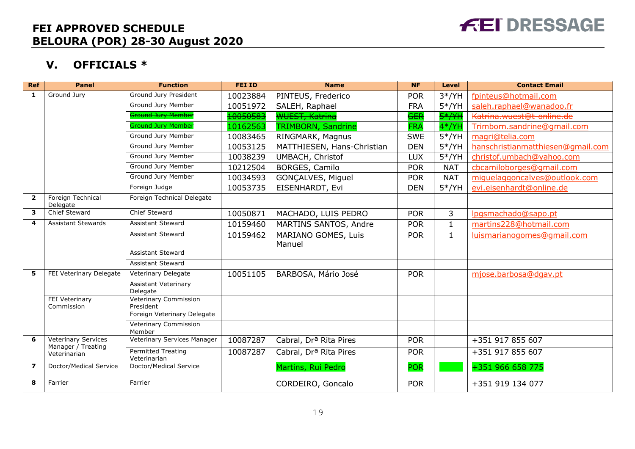### **V. OFFICIALS \***

| <b>Ref</b>              | Panel                              | <b>Function</b>                           | <b>FEI ID</b> | <b>Name</b>                        | <b>NF</b>  | Level              | <b>Contact Email</b>              |
|-------------------------|------------------------------------|-------------------------------------------|---------------|------------------------------------|------------|--------------------|-----------------------------------|
| 1                       | Ground Jury                        | Ground Jury President                     | 10023884      | PINTEUS, Frederico                 | <b>POR</b> | $3*/YH$            | fpinteus@hotmail.com              |
|                         |                                    | Ground Jury Member                        | 10051972      | SALEH, Raphael                     | <b>FRA</b> | $5*/YH$            | saleh.raphael@wanadoo.fr          |
|                         |                                    | <b>Ground Jury Member</b>                 | 10050583      | <b>WUEST, Katrina</b>              | <b>GER</b> | 5 <sup>*</sup> /YH | Katrina.wuest@t-online.de         |
|                         |                                    | <b>Ground Jury Member</b>                 | 10162563      | <b>TRIMBORN, Sandrine</b>          | <b>FRA</b> | $4*/YH$            | Trimborn.sandrine@gmail.com       |
|                         |                                    | Ground Jury Member                        | 10083465      | RINGMARK, Magnus                   | <b>SWE</b> | $5*/YH$            | magri@telia.com                   |
|                         |                                    | Ground Jury Member                        | 10053125      | MATTHIESEN, Hans-Christian         | <b>DEN</b> | $5*/YH$            | hanschristianmatthiesen@gmail.com |
|                         |                                    | Ground Jury Member                        | 10038239      | UMBACH, Christof                   | <b>LUX</b> | $5*/YH$            | christof.umbach@yahoo.com         |
|                         |                                    | Ground Jury Member                        | 10212504      | BORGES, Camilo                     | <b>POR</b> | <b>NAT</b>         | cbcamiloborges@gmail.com          |
|                         |                                    | Ground Jury Member                        | 10034593      | GONÇALVES, Miguel                  | <b>POR</b> | <b>NAT</b>         | miguelaggoncalves@outlook.com     |
|                         |                                    | Foreign Judge                             | 10053735      | EISENHARDT, Evi                    | <b>DEN</b> | $5*/YH$            | evi.eisenhardt@online.de          |
| $\overline{\mathbf{2}}$ | Foreign Technical<br>Delegate      | Foreign Technical Delegate                |               |                                    |            |                    |                                   |
| $\overline{\mathbf{3}}$ | <b>Chief Steward</b>               | Chief Steward                             | 10050871      | MACHADO, LUIS PEDRO                | <b>POR</b> | $\overline{3}$     | lpgsmachado@sapo.pt               |
| 4                       | <b>Assistant Stewards</b>          | <b>Assistant Steward</b>                  | 10159460      | MARTINS SANTOS, Andre              | <b>POR</b> | 1                  | martins228@hotmail.com            |
|                         |                                    | <b>Assistant Steward</b>                  | 10159462      | MARIANO GOMES, Luis<br>Manuel      | <b>POR</b> | $\mathbf{1}$       | luismarianogomes@gmail.com        |
|                         |                                    | <b>Assistant Steward</b>                  |               |                                    |            |                    |                                   |
|                         |                                    | <b>Assistant Steward</b>                  |               |                                    |            |                    |                                   |
| 5                       | FEI Veterinary Delegate            | Veterinary Delegate                       | 10051105      | BARBOSA, Mário José                | <b>POR</b> |                    | mjose.barbosa@dgav.pt             |
|                         |                                    | <b>Assistant Veterinary</b><br>Delegate   |               |                                    |            |                    |                                   |
|                         | FEI Veterinary<br>Commission       | <b>Veterinary Commission</b><br>President |               |                                    |            |                    |                                   |
|                         |                                    | Foreign Veterinary Delegate               |               |                                    |            |                    |                                   |
|                         |                                    | Veterinary Commission<br>Member           |               |                                    |            |                    |                                   |
| 6                       | <b>Veterinary Services</b>         | Veterinary Services Manager               | 10087287      | Cabral, Dr <sup>a</sup> Rita Pires | <b>POR</b> |                    | +351 917 855 607                  |
|                         | Manager / Treating<br>Veterinarian | Permitted Treating<br>Veterinarian        | 10087287      | Cabral, Dr <sup>a</sup> Rita Pires | <b>POR</b> |                    | +351 917 855 607                  |
| $\overline{\mathbf{z}}$ | Doctor/Medical Service             | Doctor/Medical Service                    |               | Martins, Rui Pedro                 | <b>POR</b> |                    | +351 966 658 775                  |
| 8                       | Farrier                            | Farrier                                   |               | CORDEIRO, Goncalo                  | <b>POR</b> |                    | +351 919 134 077                  |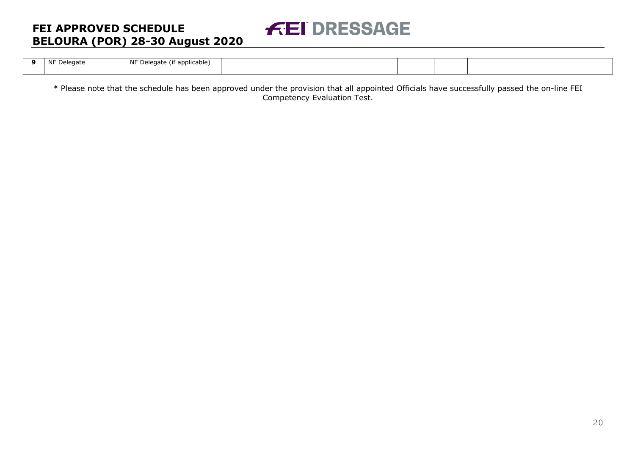## **FEI DRESSAGE**

### **FEI APPROVED SCHEDULE BELOURA (POR) 28-30 August 2020**

| <u>n</u> | ΝF<br>)elegate<br>1 J t | <b>NIC D</b><br>. .<br>applicable) `<br>Delegate |  |  |  |
|----------|-------------------------|--------------------------------------------------|--|--|--|
|          |                         |                                                  |  |  |  |

\* Please note that the schedule has been approved under the provision that all appointed Officials have successfully passed the on-line FEI Competency Evaluation Test.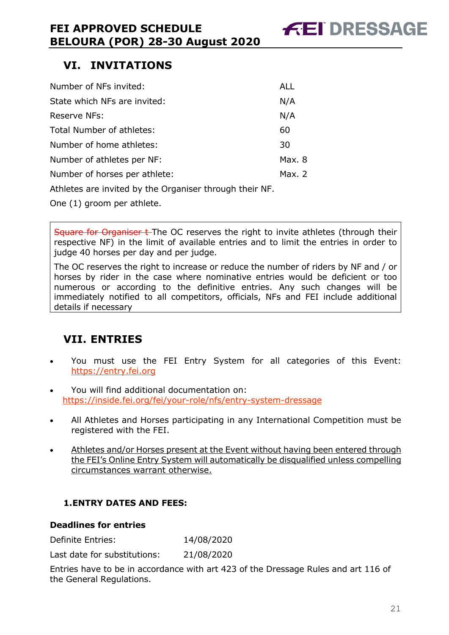### **VI. INVITATIONS**

| Number of NFs invited:                                  | <b>ALL</b> |
|---------------------------------------------------------|------------|
| State which NFs are invited:                            | N/A        |
| Reserve NFs:                                            | N/A        |
| Total Number of athletes:                               | 60         |
| Number of home athletes:                                | 30         |
| Number of athletes per NF:                              | Max. 8     |
| Number of horses per athlete:                           | Max. $2$   |
| Athletes are invited by the Organiser through their NF. |            |

One (1) groom per athlete.

Square for Organiser t-The OC reserves the right to invite athletes (through their respective NF) in the limit of available entries and to limit the entries in order to judge 40 horses per day and per judge.

The OC reserves the right to increase or reduce the number of riders by NF and / or horses by rider in the case where nominative entries would be deficient or too numerous or according to the definitive entries. Any such changes will be immediately notified to all competitors, officials, NFs and FEI include additional details if necessary

### **VII. ENTRIES**

- You must use the FEI Entry System for all categories of this Event: https://entry.fei.org
- You will find additional documentation on: https://inside.fei.org/fei/your-role/nfs/entry-system-dressage
- All Athletes and Horses participating in any International Competition must be registered with the FEI.
- Athletes and/or Horses present at the Event without having been entered through the FEI's Online Entry System will automatically be disqualified unless compelling circumstances warrant otherwise.

### **1.ENTRY DATES AND FEES:**

#### **Deadlines for entries**

Definite Entries: 14/08/2020

Last date for substitutions: 21/08/2020

Entries have to be in accordance with art 423 of the Dressage Rules and art 116 of the General Regulations.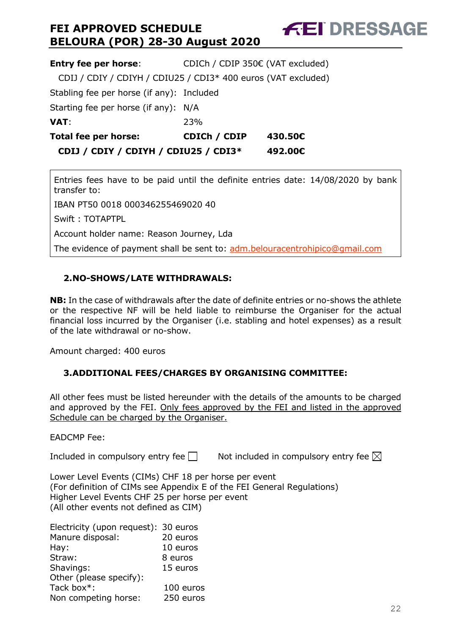| <b>Entry fee per horse:</b>                                   | CDICh / CDIP 350€ (VAT excluded) |         |
|---------------------------------------------------------------|----------------------------------|---------|
| CDIJ / CDIY / CDIYH / CDIU25 / CDI3* 400 euros (VAT excluded) |                                  |         |
| Stabling fee per horse (if any): Included                     |                                  |         |
| Starting fee per horse (if any): N/A                          |                                  |         |
| VAT:                                                          | 23%                              |         |
| Total fee per horse:                                          | CDICh / CDIP                     | 430.50€ |
| CDIJ / CDIY / CDIYH / CDIU25 / CDI3*                          |                                  | 492.00€ |

Entries fees have to be paid until the definite entries date: 14/08/2020 by bank transfer to:

IBAN PT50 0018 000346255469020 40

Swift : TOTAPTPL

Account holder name: Reason Journey, Lda

The evidence of payment shall be sent to: adm.belouracentrohipico@gmail.com

#### **2.NO-SHOWS/LATE WITHDRAWALS:**

**NB:** In the case of withdrawals after the date of definite entries or no-shows the athlete or the respective NF will be held liable to reimburse the Organiser for the actual financial loss incurred by the Organiser (i.e. stabling and hotel expenses) as a result of the late withdrawal or no-show.

Amount charged: 400 euros

#### **3.ADDITIONAL FEES/CHARGES BY ORGANISING COMMITTEE:**

All other fees must be listed hereunder with the details of the amounts to be charged and approved by the FEI. Only fees approved by the FEI and listed in the approved Schedule can be charged by the Organiser.

#### EADCMP Fee:

Included in compulsory entry fee  $\Box$  Not included in compulsory entry fee  $\boxtimes$ 

Lower Level Events (CIMs) CHF 18 per horse per event (For definition of CIMs see Appendix E of the FEI General Regulations) Higher Level Events CHF 25 per horse per event (All other events not defined as CIM)

| Electricity (upon request): 30 euros |           |
|--------------------------------------|-----------|
| Manure disposal:                     | 20 euros  |
| Hay:                                 | 10 euros  |
| Straw:                               | 8 euros   |
| Shavings:                            | 15 euros  |
| Other (please specify):              |           |
| Tack box*:                           | 100 euros |
| Non competing horse:                 | 250 euros |

**FEI DRESSAGE**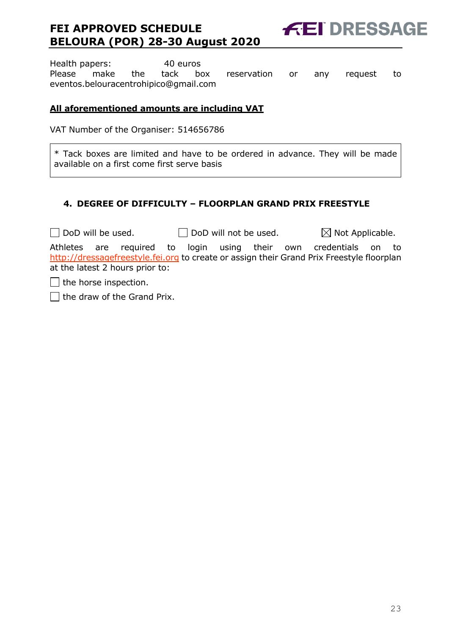**FEI DRESSAGE** 

Health papers: 40 euros Please make the tack box reservation or any request to eventos.belouracentrohipico@gmail.com

#### **All aforementioned amounts are including VAT**

VAT Number of the Organiser: 514656786

\* Tack boxes are limited and have to be ordered in advance. They will be made available on a first come first serve basis

#### **4. DEGREE OF DIFFICULTY – FLOORPLAN GRAND PRIX FREESTYLE**

 $\Box$  DoD will be used.  $\Box$  DoD will not be used.  $\boxtimes$  Not Applicable.

Athletes are required to login using their own credentials on to http://dressagefreestyle.fei.org to create or assign their Grand Prix Freestyle floorplan at the latest 2 hours prior to:

 $\Box$  the horse inspection.

 $\Box$  the draw of the Grand Prix.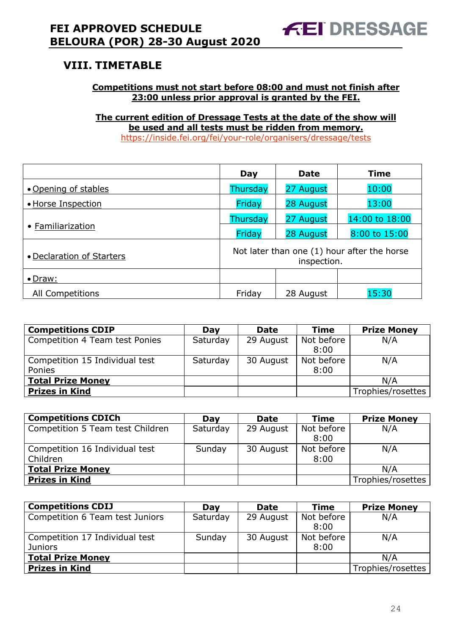### **VIII. TIMETABLE**

#### **Competitions must not start before 08:00 and must not finish after 23:00 unless prior approval is granted by the FEI.**

**The current edition of Dressage Tests at the date of the show will be used and all tests must be ridden from memory.** https://inside.fei.org/fei/your-role/organisers/dressage/tests

|                           | Day                                                        | <b>Date</b> | <b>Time</b>    |  |  |
|---------------------------|------------------------------------------------------------|-------------|----------------|--|--|
| • Opening of stables      | Thursday                                                   | 27 August   | 10:00          |  |  |
| • Horse Inspection        | Friday                                                     | 28 August   | 13:00          |  |  |
| • Familiarization         | Thursday                                                   | 27 August   | 14:00 to 18:00 |  |  |
|                           | Friday                                                     | 28 August   | 8:00 to 15:00  |  |  |
| • Declaration of Starters | Not later than one (1) hour after the horse<br>inspection. |             |                |  |  |
| $\bullet$ Draw:           |                                                            |             |                |  |  |
| All Competitions          | Friday                                                     | 28 August   | 15:30          |  |  |

| <b>Competitions CDIP</b>       | Day      | <b>Date</b> | <b>Time</b> | <b>Prize Money</b> |
|--------------------------------|----------|-------------|-------------|--------------------|
| Competition 4 Team test Ponies | Saturday | 29 August   | Not before  | N/A                |
|                                |          |             | 8:00        |                    |
| Competition 15 Individual test | Saturday | 30 August   | Not before  | N/A                |
| Ponies                         |          |             | 8:00        |                    |
| <b>Total Prize Money</b>       |          |             |             | N/A                |
| <b>Prizes in Kind</b>          |          |             |             | Trophies/rosettes  |

| <b>Competitions CDICh</b>        | Day      | <b>Date</b> | Time       | <b>Prize Money</b> |
|----------------------------------|----------|-------------|------------|--------------------|
| Competition 5 Team test Children | Saturday | 29 August   | Not before | N/A                |
|                                  |          |             | 8:00       |                    |
| Competition 16 Individual test   | Sunday   | 30 August   | Not before | N/A                |
| Children                         |          |             | 8:00       |                    |
| <b>Total Prize Money</b>         |          |             |            | N/A                |
| <b>Prizes in Kind</b>            |          |             |            | Trophies/rosettes  |

| <b>Competitions CDIJ</b>        | Day      | <b>Date</b> | <b>Time</b> | <b>Prize Money</b> |
|---------------------------------|----------|-------------|-------------|--------------------|
| Competition 6 Team test Juniors | Saturday | 29 August   | Not before  | N/A                |
|                                 |          |             | 8:00        |                    |
| Competition 17 Individual test  | Sunday   | 30 August   | Not before  | N/A                |
| <b>Juniors</b>                  |          |             | 8:00        |                    |
| <b>Total Prize Money</b>        |          |             |             | N/A                |
| <b>Prizes in Kind</b>           |          |             |             | Trophies/rosettes  |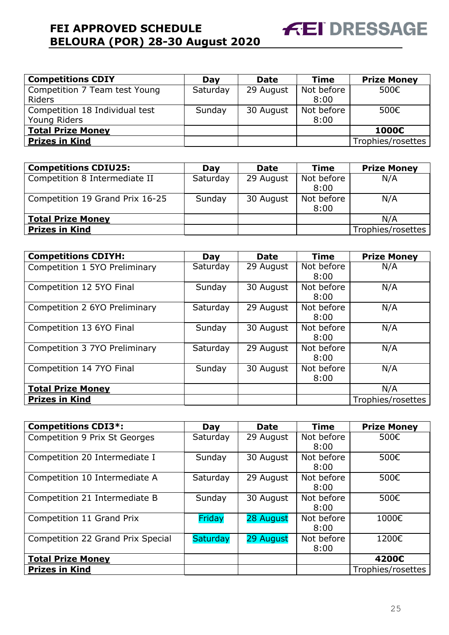| <b>Competitions CDIY</b>       | Day      | <b>Date</b> | <b>Time</b> | <b>Prize Money</b> |
|--------------------------------|----------|-------------|-------------|--------------------|
| Competition 7 Team test Young  | Saturday | 29 August   | Not before  | 500€               |
| <b>Riders</b>                  |          |             | 8:00        |                    |
| Competition 18 Individual test | Sunday   | 30 August   | Not before  | 500€               |
| Young Riders                   |          |             | 8:00        |                    |
| <b>Total Prize Money</b>       |          |             |             | 1000€              |
| <b>Prizes in Kind</b>          |          |             |             | Trophies/rosettes  |

**FEI DRESSAGE** 

| <b>Competitions CDIU25:</b>     | Day      | <b>Date</b> | <b>Time</b> | <b>Prize Money</b> |
|---------------------------------|----------|-------------|-------------|--------------------|
| Competition 8 Intermediate II   | Saturday | 29 August   | Not before  | N/A                |
|                                 |          |             | 8:00        |                    |
| Competition 19 Grand Prix 16-25 | Sunday   | 30 August   | Not before  | N/A                |
|                                 |          |             | 8:00        |                    |
| <b>Total Prize Money</b>        |          |             |             | N/A                |
| <b>Prizes in Kind</b>           |          |             |             | Trophies/rosettes  |

| <b>Competitions CDIYH:</b>    | Day      | <b>Date</b> | <b>Time</b>        | <b>Prize Money</b> |
|-------------------------------|----------|-------------|--------------------|--------------------|
| Competition 1 5YO Preliminary | Saturday | 29 August   | Not before<br>8:00 | N/A                |
| Competition 12 5YO Final      | Sunday   | 30 August   | Not before<br>8:00 | N/A                |
| Competition 2 6YO Preliminary | Saturday | 29 August   | Not before<br>8:00 | N/A                |
| Competition 13 6YO Final      | Sunday   | 30 August   | Not before<br>8:00 | N/A                |
| Competition 3 7YO Preliminary | Saturday | 29 August   | Not before<br>8:00 | N/A                |
| Competition 14 7YO Final      | Sunday   | 30 August   | Not before<br>8:00 | N/A                |
| <b>Total Prize Money</b>      |          |             |                    | N/A                |
| <b>Prizes in Kind</b>         |          |             |                    | Trophies/rosettes  |

| <b>Competitions CDI3*:</b>        | Day             | <b>Date</b> | <b>Time</b>        | <b>Prize Money</b> |
|-----------------------------------|-----------------|-------------|--------------------|--------------------|
| Competition 9 Prix St Georges     | Saturday        | 29 August   | Not before<br>8:00 | 500€               |
| Competition 20 Intermediate I     | Sunday          | 30 August   | Not before<br>8:00 | 500€               |
| Competition 10 Intermediate A     | Saturday        | 29 August   | Not before<br>8:00 | 500€               |
| Competition 21 Intermediate B     | Sunday          | 30 August   | Not before<br>8:00 | 500€               |
| Competition 11 Grand Prix         | Friday          | 28 August   | Not before<br>8:00 | 1000€              |
| Competition 22 Grand Prix Special | <b>Saturday</b> | 29 August   | Not before<br>8:00 | 1200€              |
| <b>Total Prize Money</b>          |                 |             |                    | 4200€              |
| <b>Prizes in Kind</b>             |                 |             |                    | Trophies/rosettes  |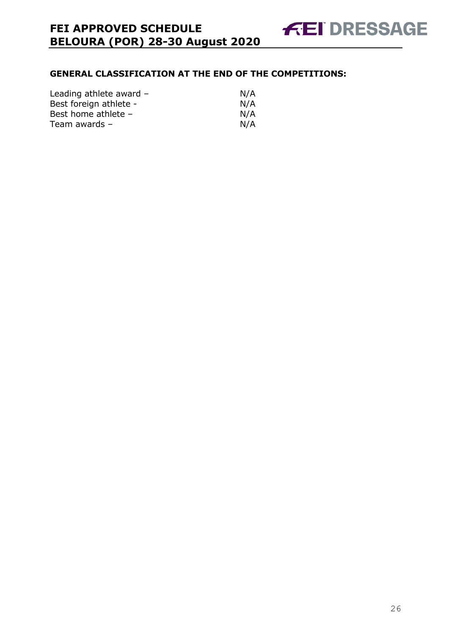#### **GENERAL CLASSIFICATION AT THE END OF THE COMPETITIONS:**

| Leading athlete award - | N/A |
|-------------------------|-----|
| Best foreign athlete -  | N/A |
| Best home athlete -     | N/A |
| Team awards $-$         | N/A |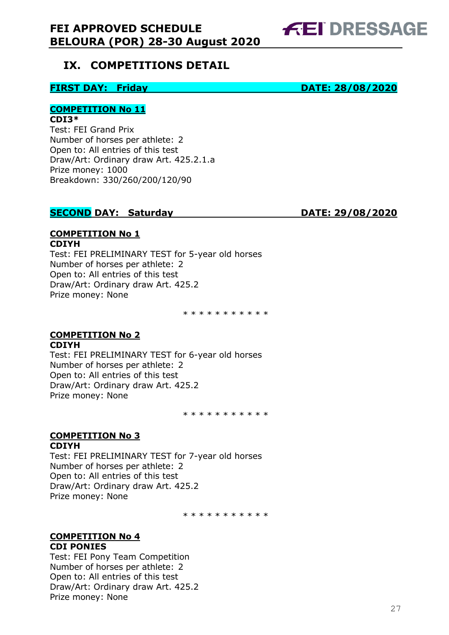

### **IX. COMPETITIONS DETAIL**

#### **FIRST DAY: Friday DATE: 28/08/2020**

#### **COMPETITION No 11**

**CDI3\*** Test: FEI Grand Prix Number of horses per athlete: 2 Open to: All entries of this test Draw/Art: Ordinary draw Art. 425.2.1.a Prize money: 1000 Breakdown: 330/260/200/120/90

### **SECOND DAY: Saturday DATE: 29/08/2020**

#### **COMPETITION No 1 CDIYH**

Test: FEI PRELIMINARY TEST for 5-year old horses Number of horses per athlete: 2 Open to: All entries of this test Draw/Art: Ordinary draw Art. 425.2 Prize money: None

\* \* \* \* \* \* \* \* \* \*

#### **COMPETITION No 2 CDIYH**

Test: FEI PRELIMINARY TEST for 6-year old horses Number of horses per athlete: 2 Open to: All entries of this test Draw/Art: Ordinary draw Art. 425.2 Prize money: None

\* \* \* \* \* \* \* \* \* \* \*

#### **COMPETITION No 3 CDIYH**

Test: FEI PRELIMINARY TEST for 7-year old horses Number of horses per athlete: 2 Open to: All entries of this test Draw/Art: Ordinary draw Art. 425.2 Prize money: None

\* \* \* \* \* \* \* \* \* \*

#### **COMPETITION No 4 CDI PONIES**

Test: FEI Pony Team Competition Number of horses per athlete: 2 Open to: All entries of this test Draw/Art: Ordinary draw Art. 425.2 Prize money: None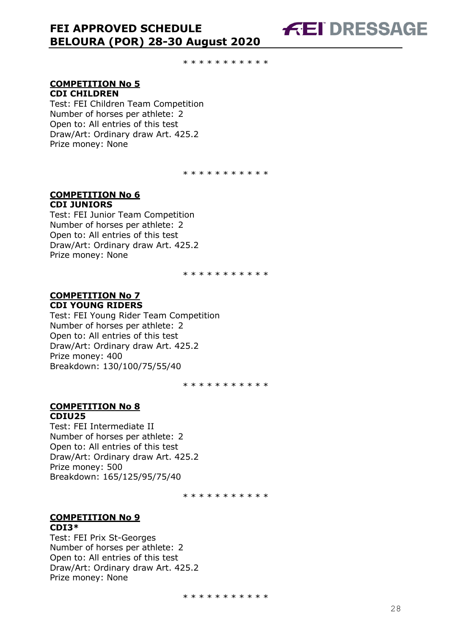**FEI DRESSAGE** 

\* \* \* \* \* \* \* \* \* \*

#### **COMPETITION No 5 CDI CHILDREN**

Test: FEI Children Team Competition Number of horses per athlete: 2 Open to: All entries of this test Draw/Art: Ordinary draw Art. 425.2 Prize money: None

\* \* \* \* \* \* \* \* \* \*

#### **COMPETITION No 6 CDI JUNIORS**

Test: FEI Junior Team Competition Number of horses per athlete: 2 Open to: All entries of this test Draw/Art: Ordinary draw Art. 425.2 Prize money: None

\* \* \* \* \* \* \* \* \* \*

#### **COMPETITION No 7 CDI YOUNG RIDERS**

Test: FEI Young Rider Team Competition Number of horses per athlete: 2 Open to: All entries of this test Draw/Art: Ordinary draw Art. 425.2 Prize money: 400 Breakdown: 130/100/75/55/40

\* \* \* \* \* \* \* \* \* \*

#### **COMPETITION No 8 CDIU25**

Test: FEI Intermediate II Number of horses per athlete: 2 Open to: All entries of this test Draw/Art: Ordinary draw Art. 425.2 Prize money: 500 Breakdown: 165/125/95/75/40

\* \* \* \* \* \* \* \* \* \*

### **COMPETITION No 9**

#### **CDI3\***

Test: FEI Prix St-Georges Number of horses per athlete: 2 Open to: All entries of this test Draw/Art: Ordinary draw Art. 425.2 Prize money: None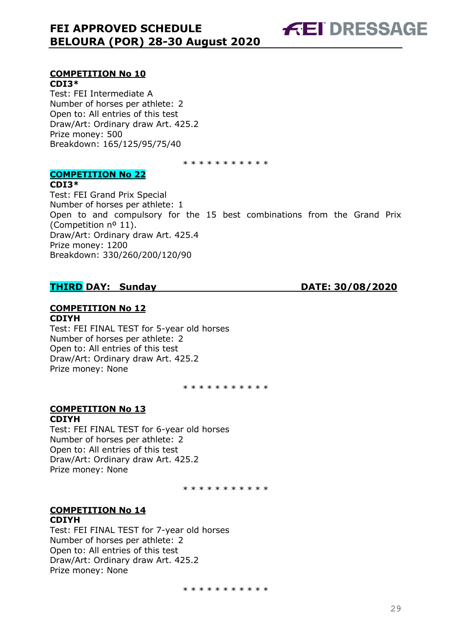**COMPETITION No 10 CDI3\***

Test: FEI Intermediate A Number of horses per athlete: 2 Open to: All entries of this test Draw/Art: Ordinary draw Art. 425.2 Prize money: 500 Breakdown: 165/125/95/75/40

\* \* \* \* \* \* \* \* \* \*

#### **COMPETITION No 22**

**CDI3\*** Test: FEI Grand Prix Special Number of horses per athlete: 1 Open to and compulsory for the 15 best combinations from the Grand Prix (Competition nº 11). Draw/Art: Ordinary draw Art. 425.4 Prize money: 1200 Breakdown: 330/260/200/120/90

#### **THIRD DAY: Sunday DATE: 30/08/2020**

**FEI DRESSAGE** 

### **COMPETITION No 12**

#### **CDIYH**

Test: FEI FINAL TEST for 5-year old horses Number of horses per athlete: 2 Open to: All entries of this test Draw/Art: Ordinary draw Art. 425.2 Prize money: None

\* \* \* \* \* \* \* \* \* \*

#### **COMPETITION No 13 CDIYH**

Test: FEI FINAL TEST for 6-year old horses Number of horses per athlete: 2 Open to: All entries of this test Draw/Art: Ordinary draw Art. 425.2 Prize money: None

\* \* \* \* \* \* \* \* \* \*

#### **COMPETITION No 14 CDIYH**

Test: FEI FINAL TEST for 7-year old horses Number of horses per athlete: 2 Open to: All entries of this test Draw/Art: Ordinary draw Art. 425.2 Prize money: None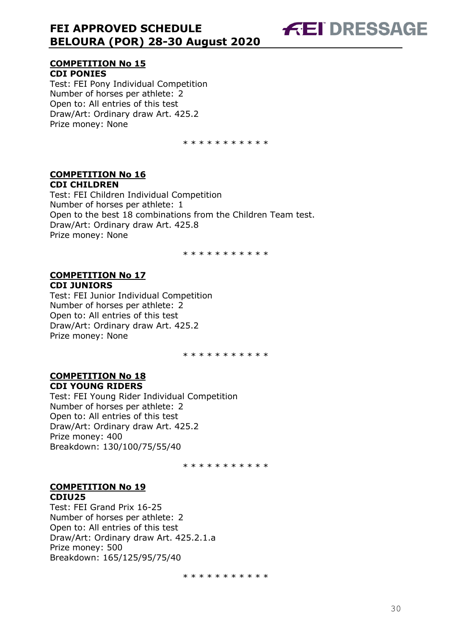

#### **COMPETITION No 15 CDI PONIES**

Test: FEI Pony Individual Competition Number of horses per athlete: 2 Open to: All entries of this test Draw/Art: Ordinary draw Art. 425.2 Prize money: None

\* \* \* \* \* \* \* \* \* \*

#### **COMPETITION No 16 CDI CHILDREN**

Test: FEI Children Individual Competition Number of horses per athlete: 1 Open to the best 18 combinations from the Children Team test. Draw/Art: Ordinary draw Art. 425.8 Prize money: None

\* \* \* \* \* \* \* \* \* \*

#### **COMPETITION No 17 CDI JUNIORS**

Test: FEI Junior Individual Competition Number of horses per athlete: 2 Open to: All entries of this test Draw/Art: Ordinary draw Art. 425.2 Prize money: None

\* \* \* \* \* \* \* \* \* \*

#### **COMPETITION No 18 CDI YOUNG RIDERS**

Test: FEI Young Rider Individual Competition Number of horses per athlete: 2 Open to: All entries of this test Draw/Art: Ordinary draw Art. 425.2 Prize money: 400 Breakdown: 130/100/75/55/40

\* \* \* \* \* \* \* \* \* \*

#### **COMPETITION No 19 CDIU25**

Test: FEI Grand Prix 16-25 Number of horses per athlete: 2 Open to: All entries of this test Draw/Art: Ordinary draw Art. 425.2.1.a Prize money: 500 Breakdown: 165/125/95/75/40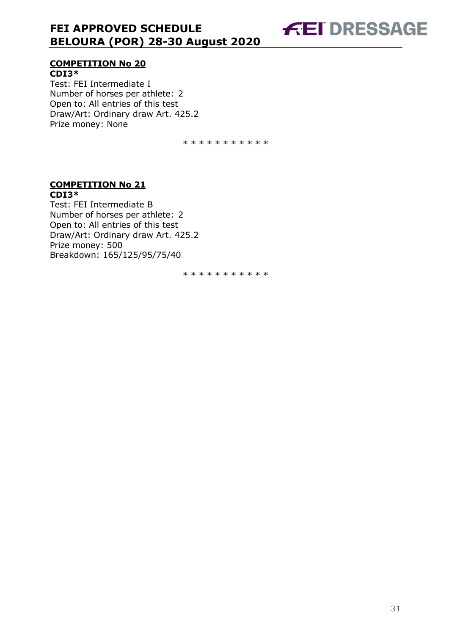

#### **COMPETITION No 20 CDI3\***

Test: FEI Intermediate I Number of horses per athlete: 2 Open to: All entries of this test Draw/Art: Ordinary draw Art. 425.2 Prize money: None

\* \* \* \* \* \* \* \* \* \*

#### **COMPETITION No 21 CDI3\***

Test: FEI Intermediate B Number of horses per athlete: 2 Open to: All entries of this test Draw/Art: Ordinary draw Art. 425.2 Prize money: 500 Breakdown: 165/125/95/75/40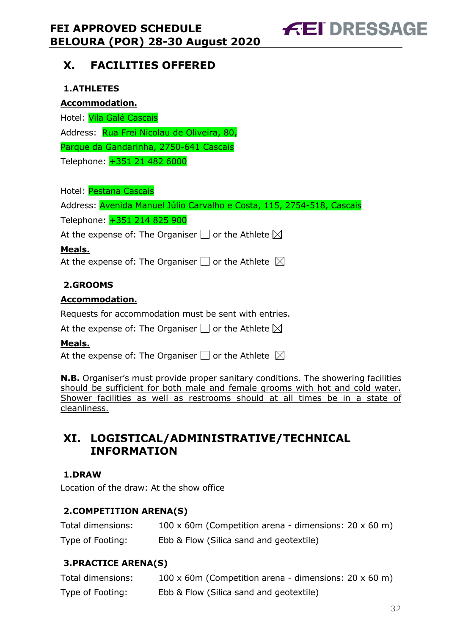**FEI DRESSAGE** 

### **X. FACILITIES OFFERED**

#### **1.ATHLETES**

#### **Accommodation.**

Hotel: Vila Galé Cascais Address: Rua Frei Nicolau de Oliveira, 80, Parque da Gandarinha, 2750-641 Cascais Telephone: +351 21 482 6000

Hotel: Pestana Cascais

Address: Avenida Manuel Júlio Carvalho e Costa, 115, 2754-518, Cascais

Telephone: +351 214 825 900

At the expense of: The Organiser  $\Box$  or the Athlete  $\boxtimes$ 

#### **Meals.**

At the expense of: The Organiser  $\Box$  or the Athlete  $\boxtimes$ 

#### **2.GROOMS**

#### **Accommodation.**

Requests for accommodation must be sent with entries.

At the expense of: The Organiser  $\Box$  or the Athlete  $\boxtimes$ 

#### **Meals.**

At the expense of: The Organiser  $\Box$  or the Athlete  $\boxtimes$ 

**N.B.** Organiser's must provide proper sanitary conditions. The showering facilities should be sufficient for both male and female grooms with hot and cold water. Shower facilities as well as restrooms should at all times be in a state of cleanliness.

### **XI. LOGISTICAL/ADMINISTRATIVE/TECHNICAL INFORMATION**

#### **1.DRAW**

Location of the draw: At the show office

#### **2.COMPETITION ARENA(S)**

| Total dimensions: | 100 x 60m (Competition arena - dimensions: $20 \times 60$ m) |
|-------------------|--------------------------------------------------------------|
| Type of Footing:  | Ebb & Flow (Silica sand and geotextile)                      |

#### **3.PRACTICE ARENA(S)**

| Total dimensions: | 100 x 60m (Competition arena - dimensions: $20 \times 60$ m) |
|-------------------|--------------------------------------------------------------|
| Type of Footing:  | Ebb & Flow (Silica sand and geotextile)                      |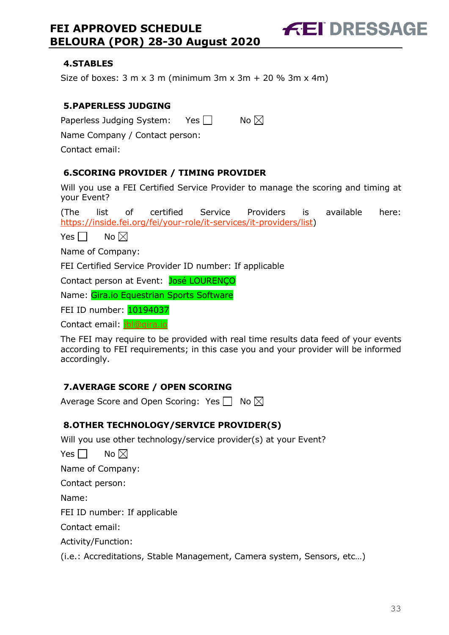#### **4.STABLES**

Size of boxes:  $3 \text{ m} \times 3 \text{ m}$  (minimum  $3 \text{ m} \times 3 \text{ m} + 20 \%$  3m  $\times$  4m)

#### **5.PAPERLESS JUDGING**

|  | Paperless Judging System: | Yes $\Box$<br>No. |  |
|--|---------------------------|-------------------|--|
|--|---------------------------|-------------------|--|

Name Company / Contact person:

Contact email:

#### **6.SCORING PROVIDER / TIMING PROVIDER**

Will you use a FEI Certified Service Provider to manage the scoring and timing at your Event?

**FEI DRESSAGE** 

(The list of certified Service Providers is available here: https://inside.fei.org/fei/your-role/it-services/it-providers/list)

Yes  $\Box$  No  $\boxtimes$ 

Name of Company:

FEI Certified Service Provider ID number: If applicable

Contact person at Event: José LOURENCO

Name: Gira.io Equestrian Sports Software

FEI ID number: 10194037

Contact email: jbl@gira.io

The FEI may require to be provided with real time results data feed of your events according to FEI requirements; in this case you and your provider will be informed accordingly.

#### **7.AVERAGE SCORE / OPEN SCORING**

Average Score and Open Scoring: Yes  $\Box$  No  $\boxtimes$ 

#### **8.OTHER TECHNOLOGY/SERVICE PROVIDER(S)**

Will you use other technology/service provider(s) at your Event?

Yes  $\Box$  No  $\boxtimes$ 

Name of Company:

Contact person:

Name:

FEI ID number: If applicable

Contact email:

Activity/Function:

(i.e.: Accreditations, Stable Management, Camera system, Sensors, etc…)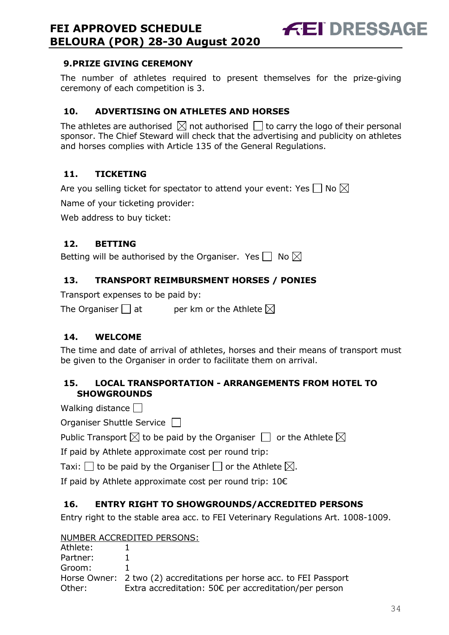#### **9.PRIZE GIVING CEREMONY**

The number of athletes required to present themselves for the prize-giving ceremony of each competition is 3.

#### **10. ADVERTISING ON ATHLETES AND HORSES**

The athletes are authorised  $\boxtimes$  not authorised  $\Box$  to carry the logo of their personal sponsor. The Chief Steward will check that the advertising and publicity on athletes and horses complies with Article 135 of the General Regulations.

#### **11. TICKETING**

Are you selling ticket for spectator to attend your event: Yes  $\Box$  No  $\boxtimes$ 

Name of your ticketing provider:

Web address to buy ticket:

#### **12. BETTING**

Betting will be authorised by the Organiser. Yes  $\Box$  No  $\boxtimes$ 

#### **13. TRANSPORT REIMBURSMENT HORSES / PONIES**

Transport expenses to be paid by:

The Organiser  $\Box$  at entry per km or the Athlete  $\boxtimes$ 

### **14. WELCOME**

The time and date of arrival of athletes, horses and their means of transport must be given to the Organiser in order to facilitate them on arrival.

#### **15. LOCAL TRANSPORTATION - ARRANGEMENTS FROM HOTEL TO SHOWGROUNDS**

Walking distance  $\Box$ 

Organiser Shuttle Service

Public Transport  $\boxtimes$  to be paid by the Organiser  $\Box$  or the Athlete  $\boxtimes$ 

If paid by Athlete approximate cost per round trip:

Taxi:  $\Box$  to be paid by the Organiser  $\Box$  or the Athlete  $\boxtimes$ .

If paid by Athlete approximate cost per round trip: 10€

### **16. ENTRY RIGHT TO SHOWGROUNDS/ACCREDITED PERSONS**

Entry right to the stable area acc. to FEI Veterinary Regulations Art. 1008-1009.

#### NUMBER ACCREDITED PERSONS:

| Athlete: |                                                                      |
|----------|----------------------------------------------------------------------|
| Partner: |                                                                      |
| Groom:   |                                                                      |
|          | Horse Owner: 2 two (2) accreditations per horse acc. to FEI Passport |
| Other:   | Extra accreditation: 50 $\epsilon$ per accreditation/per person      |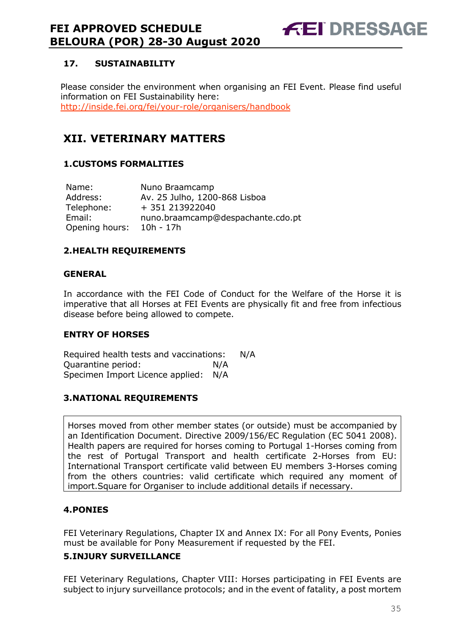

#### **17. SUSTAINABILITY**

Please consider the environment when organising an FEI Event. Please find useful information on FEI Sustainability here: http://inside.fei.org/fei/your-role/organisers/handbook

### **XII. VETERINARY MATTERS**

#### **1.CUSTOMS FORMALITIES**

| Name:          | Nuno Braamcamp                    |
|----------------|-----------------------------------|
| Address:       | Av. 25 Julho, 1200-868 Lisboa     |
| Telephone:     | + 351 213922040                   |
| Email:         | nuno.braamcamp@despachante.cdo.pt |
| Opening hours: | 10h - 17h                         |

#### **2.HEALTH REQUIREMENTS**

#### **GENERAL**

In accordance with the FEI Code of Conduct for the Welfare of the Horse it is imperative that all Horses at FEI Events are physically fit and free from infectious disease before being allowed to compete.

#### **ENTRY OF HORSES**

Required health tests and vaccinations: N/A Quarantine period: N/A Specimen Import Licence applied: N/A

#### **3.NATIONAL REQUIREMENTS**

Horses moved from other member states (or outside) must be accompanied by an Identification Document. Directive 2009/156/EC Regulation (EC 5041 2008). Health papers are required for horses coming to Portugal 1-Horses coming from the rest of Portugal Transport and health certificate 2-Horses from EU: International Transport certificate valid between EU members 3-Horses coming from the others countries: valid certificate which required any moment of import.Square for Organiser to include additional details if necessary.

#### **4.PONIES**

FEI Veterinary Regulations, Chapter IX and Annex IX: For all Pony Events, Ponies must be available for Pony Measurement if requested by the FEI.

#### **5.INJURY SURVEILLANCE**

FEI Veterinary Regulations, Chapter VIII: Horses participating in FEI Events are subject to injury surveillance protocols; and in the event of fatality, a post mortem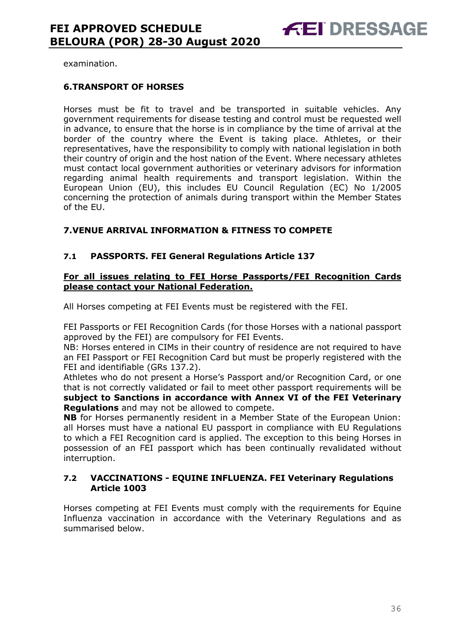examination.

#### **6.TRANSPORT OF HORSES**

Horses must be fit to travel and be transported in suitable vehicles. Any government requirements for disease testing and control must be requested well in advance, to ensure that the horse is in compliance by the time of arrival at the border of the country where the Event is taking place. Athletes, or their representatives, have the responsibility to comply with national legislation in both their country of origin and the host nation of the Event. Where necessary athletes must contact local government authorities or veterinary advisors for information regarding animal health requirements and transport legislation. Within the European Union (EU), this includes EU Council Regulation (EC) No 1/2005 concerning the protection of animals during transport within the Member States of the EU.

#### **7.VENUE ARRIVAL INFORMATION & FITNESS TO COMPETE**

#### **7.1 PASSPORTS. FEI General Regulations Article 137**

#### **For all issues relating to FEI Horse Passports/FEI Recognition Cards please contact your National Federation.**

All Horses competing at FEI Events must be registered with the FEI.

FEI Passports or FEI Recognition Cards (for those Horses with a national passport approved by the FEI) are compulsory for FEI Events.

NB: Horses entered in CIMs in their country of residence are not required to have an FEI Passport or FEI Recognition Card but must be properly registered with the FEI and identifiable (GRs 137.2).

Athletes who do not present a Horse's Passport and/or Recognition Card, or one that is not correctly validated or fail to meet other passport requirements will be **subject to Sanctions in accordance with Annex VI of the FEI Veterinary Regulations** and may not be allowed to compete.

**NB** for Horses permanently resident in a Member State of the European Union: all Horses must have a national EU passport in compliance with EU Regulations to which a FEI Recognition card is applied. The exception to this being Horses in possession of an FEI passport which has been continually revalidated without interruption.

#### **7.2 VACCINATIONS - EQUINE INFLUENZA. FEI Veterinary Regulations Article 1003**

Horses competing at FEI Events must comply with the requirements for Equine Influenza vaccination in accordance with the Veterinary Regulations and as summarised below.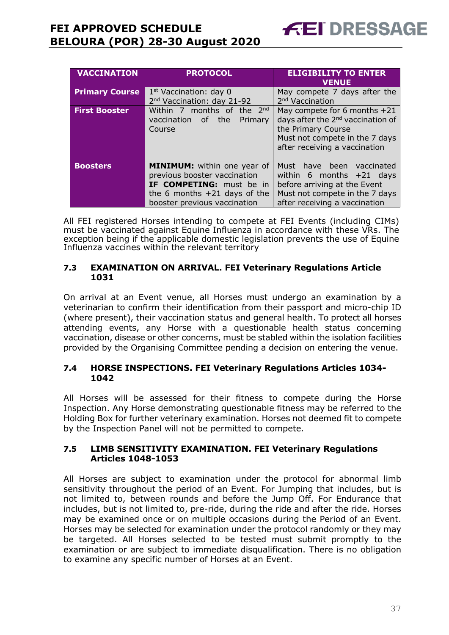| <b>VACCINATION</b>    | <b>PROTOCOL</b>                        | <b>ELIGIBILITY TO ENTER</b><br><b>VENUE</b>   |
|-----------------------|----------------------------------------|-----------------------------------------------|
| <b>Primary Course</b> | $1st$ Vaccination: day 0               | May compete 7 days after the                  |
|                       | 2 <sup>nd</sup> Vaccination: day 21-92 | 2 <sup>nd</sup> Vaccination                   |
| <b>First Booster</b>  | Within 7 months of the $2^{nd}$        | May compete for 6 months +21                  |
|                       | vaccination of the<br>Primary          | days after the 2 <sup>nd</sup> vaccination of |
|                       | Course                                 | the Primary Course                            |
|                       |                                        | Must not compete in the 7 days                |
|                       |                                        | after receiving a vaccination                 |
|                       |                                        |                                               |
| <b>Boosters</b>       | <b>MINIMUM:</b> within one year of     | Must have been vaccinated                     |
|                       | previous booster vaccination           | within $6$ months $+21$ days                  |
|                       | IF COMPETING: must be in               | before arriving at the Event                  |
|                       | the 6 months $+21$ days of the         | Must not compete in the 7 days                |
|                       | booster previous vaccination           | after receiving a vaccination                 |

All FEI registered Horses intending to compete at FEI Events (including CIMs) must be vaccinated against Equine Influenza in accordance with these VRs. The exception being if the applicable domestic legislation prevents the use of Equine Influenza vaccines within the relevant territory

#### **7.3 EXAMINATION ON ARRIVAL. FEI Veterinary Regulations Article 1031**

On arrival at an Event venue, all Horses must undergo an examination by a veterinarian to confirm their identification from their passport and micro-chip ID (where present), their vaccination status and general health. To protect all horses attending events, any Horse with a questionable health status concerning vaccination, disease or other concerns, must be stabled within the isolation facilities provided by the Organising Committee pending a decision on entering the venue.

#### **7.4 HORSE INSPECTIONS. FEI Veterinary Regulations Articles 1034- 1042**

All Horses will be assessed for their fitness to compete during the Horse Inspection. Any Horse demonstrating questionable fitness may be referred to the Holding Box for further veterinary examination. Horses not deemed fit to compete by the Inspection Panel will not be permitted to compete.

#### **7.5 LIMB SENSITIVITY EXAMINATION. FEI Veterinary Regulations Articles 1048-1053**

All Horses are subject to examination under the protocol for abnormal limb sensitivity throughout the period of an Event. For Jumping that includes, but is not limited to, between rounds and before the Jump Off. For Endurance that includes, but is not limited to, pre-ride, during the ride and after the ride. Horses may be examined once or on multiple occasions during the Period of an Event. Horses may be selected for examination under the protocol randomly or they may be targeted. All Horses selected to be tested must submit promptly to the examination or are subject to immediate disqualification. There is no obligation to examine any specific number of Horses at an Event.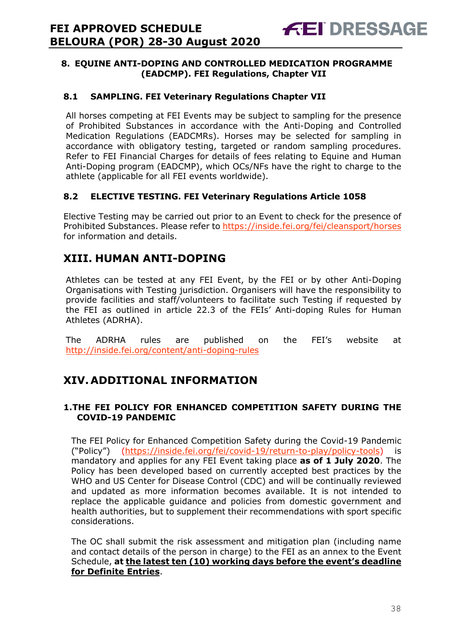#### **8. EQUINE ANTI-DOPING AND CONTROLLED MEDICATION PROGRAMME (EADCMP). FEI Regulations, Chapter VII**

#### **8.1 SAMPLING. FEI Veterinary Regulations Chapter VII**

All horses competing at FEI Events may be subject to sampling for the presence of Prohibited Substances in accordance with the Anti-Doping and Controlled Medication Regulations (EADCMRs). Horses may be selected for sampling in accordance with obligatory testing, targeted or random sampling procedures. Refer to FEI Financial Charges for details of fees relating to Equine and Human Anti-Doping program (EADCMP), which OCs/NFs have the right to charge to the athlete (applicable for all FEI events worldwide).

#### **8.2 ELECTIVE TESTING. FEI Veterinary Regulations Article 1058**

Elective Testing may be carried out prior to an Event to check for the presence of Prohibited Substances. Please refer to https://inside.fei.org/fei/cleansport/horses for information and details.

### **XIII. HUMAN ANTI-DOPING**

Athletes can be tested at any FEI Event, by the FEI or by other Anti-Doping Organisations with Testing jurisdiction. Organisers will have the responsibility to provide facilities and staff/volunteers to facilitate such Testing if requested by the FEI as outlined in article 22.3 of the FEIs' Anti-doping Rules for Human Athletes (ADRHA).

The ADRHA rules are published on the FEI's website at http://inside.fei.org/content/anti-doping-rules

### **XIV. ADDITIONAL INFORMATION**

#### **1.THE FEI POLICY FOR ENHANCED COMPETITION SAFETY DURING THE COVID-19 PANDEMIC**

The FEI Policy for Enhanced Competition Safety during the Covid-19 Pandemic ("Policy") (https://inside.fei.org/fei/covid-19/return-to-play/policy-tools) is mandatory and applies for any FEI Event taking place **as of 1 July 2020**. The Policy has been developed based on currently accepted best practices by the WHO and US Center for Disease Control (CDC) and will be continually reviewed and updated as more information becomes available. It is not intended to replace the applicable guidance and policies from domestic government and health authorities, but to supplement their recommendations with sport specific considerations.

The OC shall submit the risk assessment and mitigation plan (including name and contact details of the person in charge) to the FEI as an annex to the Event Schedule, **at the latest ten (10) working days before the event's deadline for Definite Entries**.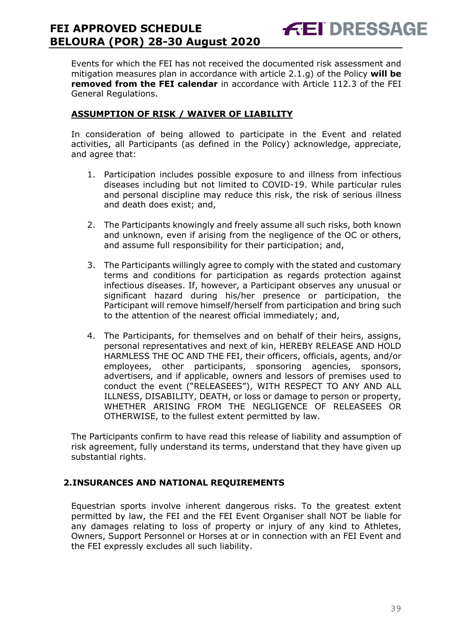Events for which the FEI has not received the documented risk assessment and mitigation measures plan in accordance with article 2.1.g) of the Policy **will be removed from the FEI calendar** in accordance with Article 112.3 of the FEI General Regulations.

**FEI DRESSAGE** 

#### **ASSUMPTION OF RISK / WAIVER OF LIABILITY**

In consideration of being allowed to participate in the Event and related activities, all Participants (as defined in the Policy) acknowledge, appreciate, and agree that:

- 1. Participation includes possible exposure to and illness from infectious diseases including but not limited to COVID-19. While particular rules and personal discipline may reduce this risk, the risk of serious illness and death does exist; and,
- 2. The Participants knowingly and freely assume all such risks, both known and unknown, even if arising from the negligence of the OC or others, and assume full responsibility for their participation; and,
- 3. The Participants willingly agree to comply with the stated and customary terms and conditions for participation as regards protection against infectious diseases. If, however, a Participant observes any unusual or significant hazard during his/her presence or participation, the Participant will remove himself/herself from participation and bring such to the attention of the nearest official immediately; and,
- 4. The Participants, for themselves and on behalf of their heirs, assigns, personal representatives and next of kin, HEREBY RELEASE AND HOLD HARMLESS THE OC AND THE FEI, their officers, officials, agents, and/or employees, other participants, sponsoring agencies, sponsors, advertisers, and if applicable, owners and lessors of premises used to conduct the event ("RELEASEES"), WITH RESPECT TO ANY AND ALL ILLNESS, DISABILITY, DEATH, or loss or damage to person or property, WHETHER ARISING FROM THE NEGLIGENCE OF RELEASEES OR OTHERWISE, to the fullest extent permitted by law.

The Participants confirm to have read this release of liability and assumption of risk agreement, fully understand its terms, understand that they have given up substantial rights.

#### **2.INSURANCES AND NATIONAL REQUIREMENTS**

Equestrian sports involve inherent dangerous risks. To the greatest extent permitted by law, the FEI and the FEI Event Organiser shall NOT be liable for any damages relating to loss of property or injury of any kind to Athletes, Owners, Support Personnel or Horses at or in connection with an FEI Event and the FEI expressly excludes all such liability.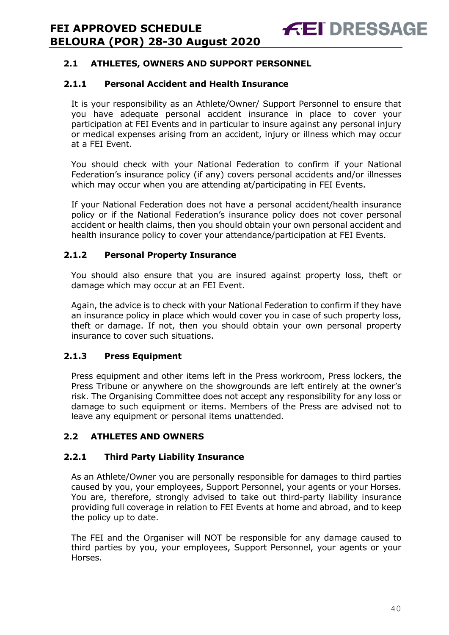### **2.1 ATHLETES, OWNERS AND SUPPORT PERSONNEL**

#### **2.1.1 Personal Accident and Health Insurance**

It is your responsibility as an Athlete/Owner/ Support Personnel to ensure that you have adequate personal accident insurance in place to cover your participation at FEI Events and in particular to insure against any personal injury or medical expenses arising from an accident, injury or illness which may occur at a FEI Event.

You should check with your National Federation to confirm if your National Federation's insurance policy (if any) covers personal accidents and/or illnesses which may occur when you are attending at/participating in FEI Events.

If your National Federation does not have a personal accident/health insurance policy or if the National Federation's insurance policy does not cover personal accident or health claims, then you should obtain your own personal accident and health insurance policy to cover your attendance/participation at FEI Events.

#### **2.1.2 Personal Property Insurance**

You should also ensure that you are insured against property loss, theft or damage which may occur at an FEI Event.

Again, the advice is to check with your National Federation to confirm if they have an insurance policy in place which would cover you in case of such property loss, theft or damage. If not, then you should obtain your own personal property insurance to cover such situations.

#### **2.1.3 Press Equipment**

Press equipment and other items left in the Press workroom, Press lockers, the Press Tribune or anywhere on the showgrounds are left entirely at the owner's risk. The Organising Committee does not accept any responsibility for any loss or damage to such equipment or items. Members of the Press are advised not to leave any equipment or personal items unattended.

#### **2.2 ATHLETES AND OWNERS**

#### **2.2.1 Third Party Liability Insurance**

As an Athlete/Owner you are personally responsible for damages to third parties caused by you, your employees, Support Personnel, your agents or your Horses. You are, therefore, strongly advised to take out third-party liability insurance providing full coverage in relation to FEI Events at home and abroad, and to keep the policy up to date.

The FEI and the Organiser will NOT be responsible for any damage caused to third parties by you, your employees, Support Personnel, your agents or your Horses.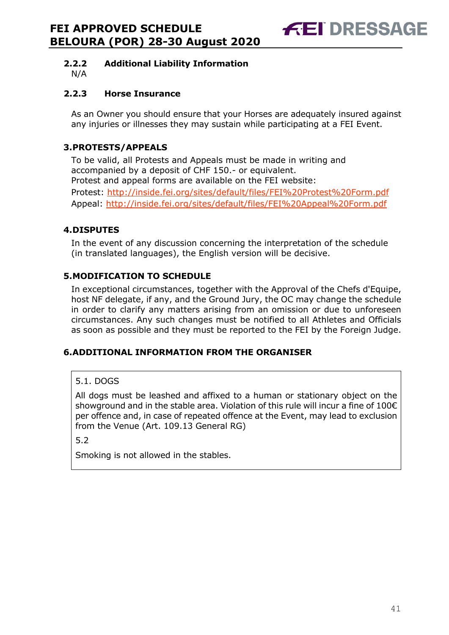### **2.2.2 Additional Liability Information**

N/A

#### **2.2.3 Horse Insurance**

As an Owner you should ensure that your Horses are adequately insured against any injuries or illnesses they may sustain while participating at a FEI Event.

#### **3.PROTESTS/APPEALS**

To be valid, all Protests and Appeals must be made in writing and accompanied by a deposit of CHF 150.- or equivalent. Protest and appeal forms are available on the FEI website: Protest: http://inside.fei.org/sites/default/files/FEI%20Protest%20Form.pdf Appeal: http://inside.fei.org/sites/default/files/FEI%20Appeal%20Form.pdf

#### **4.DISPUTES**

In the event of any discussion concerning the interpretation of the schedule (in translated languages), the English version will be decisive.

#### **5.MODIFICATION TO SCHEDULE**

In exceptional circumstances, together with the Approval of the Chefs d'Equipe, host NF delegate, if any, and the Ground Jury, the OC may change the schedule in order to clarify any matters arising from an omission or due to unforeseen circumstances. Any such changes must be notified to all Athletes and Officials as soon as possible and they must be reported to the FEI by the Foreign Judge.

#### **6.ADDITIONAL INFORMATION FROM THE ORGANISER**

#### 5.1. DOGS

All dogs must be leashed and affixed to a human or stationary object on the showground and in the stable area. Violation of this rule will incur a fine of  $100 $\epsilon$$ per offence and, in case of repeated offence at the Event, may lead to exclusion from the Venue (Art. 109.13 General RG)

5.2

Smoking is not allowed in the stables.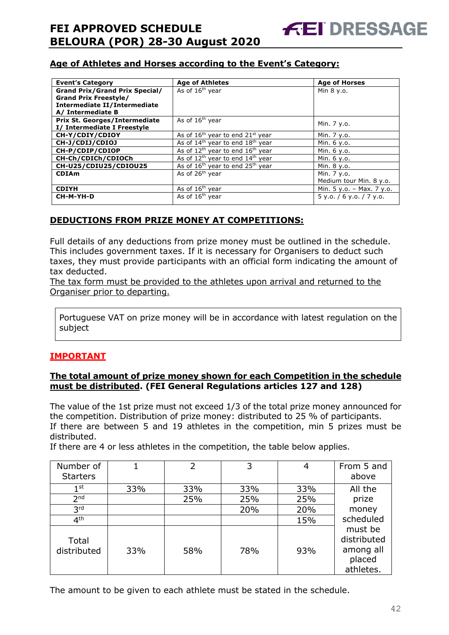#### **Age of Athletes and Horses according to the Event's Category:**

| <b>Event's Category</b>               | <b>Age of Athletes</b>                     | <b>Age of Horses</b>       |
|---------------------------------------|--------------------------------------------|----------------------------|
| <b>Grand Prix/Grand Prix Special/</b> | As of $16th$ year                          | Min 8 y.o.                 |
| <b>Grand Prix Freestyle/</b>          |                                            |                            |
| Intermediate II/Intermediate          |                                            |                            |
| A/ Intermediate B                     |                                            |                            |
| <b>Prix St. Georges/Intermediate</b>  | As of 16 <sup>th</sup> year                | Min. 7 y.o.                |
| I/ Intermediate I Freestyle           |                                            |                            |
| CH-Y/CDIY/CDIOY                       | As of $16th$ year to end $21st$ year       | Min. 7 y.o.                |
| CH-J/CDIJ/CDIOJ                       | As of $14th$ year to end $18th$ year       | Min. 6 y.o.                |
| CH-P/CDIP/CDIOP                       | As of $12^{th}$ year to end $16^{th}$ year | Min. 6 y.o.                |
| CH-Ch/CDICh/CDIOCh                    | As of $12^{th}$ year to end $14^{th}$ year | Min. 6 y.o.                |
| CH-U25/CDIU25/CDIOU25                 | As of $16th$ year to end $25th$ year       | Min. 8 y.o.                |
| <b>CDIAm</b>                          | As of 26 <sup>th</sup> vear                | Min. 7 y.o.                |
|                                       |                                            | Medium tour Min. 8 y.o.    |
| <b>CDIYH</b>                          | As of $16th$ year                          | Min. 5 y.o. - Max. 7 y.o.  |
| CH-M-YH-D                             | As of 16 <sup>th</sup> year                | $5$ y.o. / 6 y.o. / 7 y.o. |

#### **DEDUCTIONS FROM PRIZE MONEY AT COMPETITIONS:**

Full details of any deductions from prize money must be outlined in the schedule. This includes government taxes. If it is necessary for Organisers to deduct such taxes, they must provide participants with an official form indicating the amount of tax deducted.

The tax form must be provided to the athletes upon arrival and returned to the Organiser prior to departing.

Portuguese VAT on prize money will be in accordance with latest regulation on the subject

#### **IMPORTANT**

#### **The total amount of prize money shown for each Competition in the schedule must be distributed. (FEI General Regulations articles 127 and 128)**

The value of the 1st prize must not exceed 1/3 of the total prize money announced for the competition. Distribution of prize money: distributed to 25 % of participants. If there are between 5 and 19 athletes in the competition, min 5 prizes must be distributed.

If there are 4 or less athletes in the competition, the table below applies.

| Number of<br><b>Starters</b> |     | 2   | 3   | 4   | From 5 and<br>above                                        |
|------------------------------|-----|-----|-----|-----|------------------------------------------------------------|
| $1^{\rm st}$                 | 33% | 33% | 33% | 33% | All the                                                    |
| 2 <sub>nd</sub>              |     | 25% | 25% | 25% | prize                                                      |
| 3 <sup>rd</sup>              |     |     | 20% | 20% | money                                                      |
| 4 <sup>th</sup>              |     |     |     | 15% | scheduled                                                  |
| Total<br>distributed         | 33% | 58% | 78% | 93% | must be<br>distributed<br>among all<br>placed<br>athletes. |

The amount to be given to each athlete must be stated in the schedule.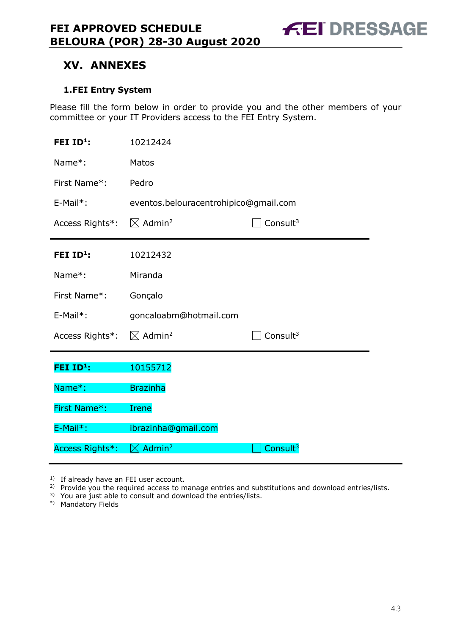**FEI DRESSAGE** 

### **XV. ANNEXES**

#### **1.FEI Entry System**

Please fill the form below in order to provide you and the other members of your committee or your IT Providers access to the FEI Entry System.

| FEI $ID^1$ :    | 10212424                                      |             |  |
|-----------------|-----------------------------------------------|-------------|--|
| Name*:          | Matos                                         |             |  |
| First Name*:    | Pedro                                         |             |  |
| E-Mail*:        | eventos.belouracentrohipico@gmail.com         |             |  |
| Access Rights*: | $\boxtimes$ Admin <sup>2</sup><br>Consult $3$ |             |  |
| FEI $ID^1$ :    | 10212432                                      |             |  |
| Name*:          | Miranda                                       |             |  |
| First Name*:    | Gonçalo                                       |             |  |
|                 |                                               |             |  |
| E-Mail*:        | goncaloabm@hotmail.com                        |             |  |
| Access Rights*: | $\boxtimes$ Admin <sup>2</sup>                | Consult $3$ |  |
| FEI $ID^1$ :    | 10155712                                      |             |  |
| Name*:          | <b>Brazinha</b>                               |             |  |
| First Name*:    | <b>Irene</b>                                  |             |  |
| $E-Mail*$ :     | ibrazinha@gmail.com                           |             |  |

<sup>1)</sup> If already have an FEI user account.

<sup>2)</sup> Provide you the required access to manage entries and substitutions and download entries/lists.

<sup>3)</sup> You are just able to consult and download the entries/lists.

\*) Mandatory Fields